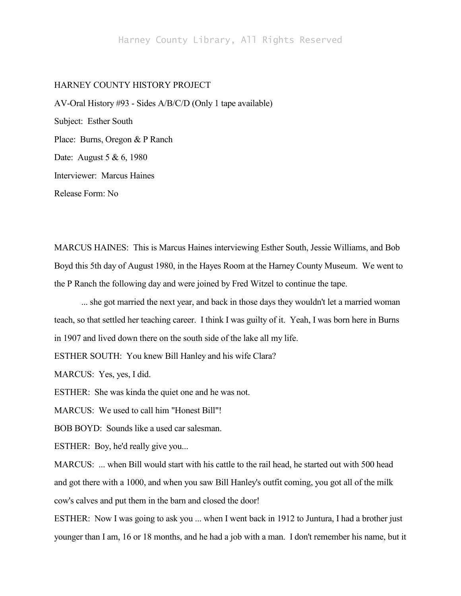## HARNEY COUNTY HISTORY PROJECT

AV-Oral History #93 - Sides A/B/C/D (Only 1 tape available) Subject: Esther South Place: Burns, Oregon & P Ranch Date: August 5 & 6, 1980 Interviewer: Marcus Haines Release Form: No

MARCUS HAINES: This is Marcus Haines interviewing Esther South, Jessie Williams, and Bob Boyd this 5th day of August 1980, in the Hayes Room at the Harney County Museum. We went to the P Ranch the following day and were joined by Fred Witzel to continue the tape.

... she got married the next year, and back in those days they wouldn't let a married woman teach, so that settled her teaching career. I think I was guilty of it. Yeah, I was born here in Burns in 1907 and lived down there on the south side of the lake all my life.

ESTHER SOUTH: You knew Bill Hanley and his wife Clara?

MARCUS: Yes, yes, I did.

ESTHER: She was kinda the quiet one and he was not.

MARCUS: We used to call him "Honest Bill"!

BOB BOYD: Sounds like a used car salesman.

ESTHER: Boy, he'd really give you...

MARCUS: ... when Bill would start with his cattle to the rail head, he started out with 500 head and got there with a 1000, and when you saw Bill Hanley's outfit coming, you got all of the milk cow's calves and put them in the barn and closed the door!

ESTHER: Now I was going to ask you ... when I went back in 1912 to Juntura, I had a brother just younger than I am, 16 or 18 months, and he had a job with a man. I don't remember his name, but it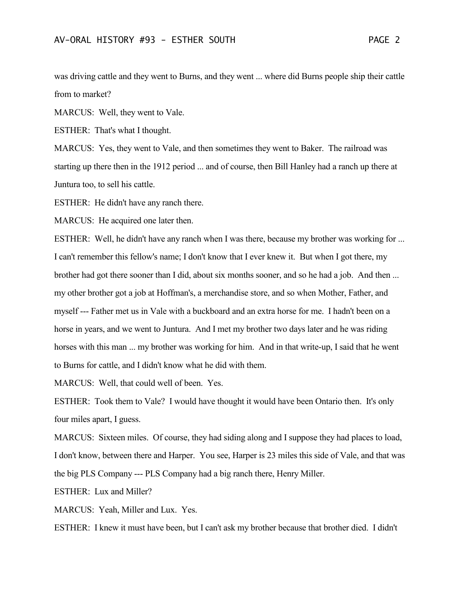was driving cattle and they went to Burns, and they went ... where did Burns people ship their cattle from to market?

MARCUS: Well, they went to Vale.

ESTHER: That's what I thought.

MARCUS: Yes, they went to Vale, and then sometimes they went to Baker. The railroad was starting up there then in the 1912 period ... and of course, then Bill Hanley had a ranch up there at Juntura too, to sell his cattle.

ESTHER: He didn't have any ranch there.

MARCUS: He acquired one later then.

ESTHER: Well, he didn't have any ranch when I was there, because my brother was working for ... I can't remember this fellow's name; I don't know that I ever knew it. But when I got there, my brother had got there sooner than I did, about six months sooner, and so he had a job. And then ... my other brother got a job at Hoffman's, a merchandise store, and so when Mother, Father, and myself --- Father met us in Vale with a buckboard and an extra horse for me. I hadn't been on a horse in years, and we went to Juntura. And I met my brother two days later and he was riding horses with this man ... my brother was working for him. And in that write-up, I said that he went to Burns for cattle, and I didn't know what he did with them.

MARCUS: Well, that could well of been. Yes.

ESTHER: Took them to Vale? I would have thought it would have been Ontario then. It's only four miles apart, I guess.

MARCUS: Sixteen miles. Of course, they had siding along and I suppose they had places to load, I don't know, between there and Harper. You see, Harper is 23 miles this side of Vale, and that was the big PLS Company --- PLS Company had a big ranch there, Henry Miller.

ESTHER: Lux and Miller?

MARCUS: Yeah, Miller and Lux. Yes.

ESTHER: I knew it must have been, but I can't ask my brother because that brother died. I didn't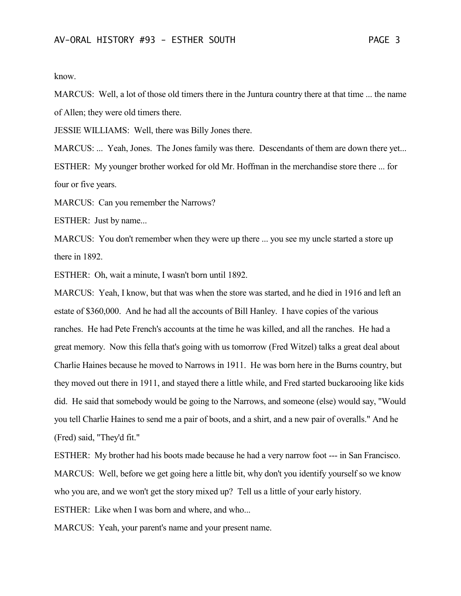know.

MARCUS: Well, a lot of those old timers there in the Juntura country there at that time ... the name of Allen; they were old timers there.

JESSIE WILLIAMS: Well, there was Billy Jones there.

MARCUS: ... Yeah, Jones. The Jones family was there. Descendants of them are down there yet... ESTHER: My younger brother worked for old Mr. Hoffman in the merchandise store there ... for four or five years.

MARCUS: Can you remember the Narrows?

ESTHER: Just by name...

MARCUS: You don't remember when they were up there ... you see my uncle started a store up there in 1892.

ESTHER: Oh, wait a minute, I wasn't born until 1892.

MARCUS: Yeah, I know, but that was when the store was started, and he died in 1916 and left an estate of \$360,000. And he had all the accounts of Bill Hanley. I have copies of the various ranches. He had Pete French's accounts at the time he was killed, and all the ranches. He had a great memory. Now this fella that's going with us tomorrow (Fred Witzel) talks a great deal about Charlie Haines because he moved to Narrows in 1911. He was born here in the Burns country, but they moved out there in 1911, and stayed there a little while, and Fred started buckarooing like kids did. He said that somebody would be going to the Narrows, and someone (else) would say, "Would you tell Charlie Haines to send me a pair of boots, and a shirt, and a new pair of overalls." And he (Fred) said, "They'd fit."

ESTHER: My brother had his boots made because he had a very narrow foot --- in San Francisco. MARCUS: Well, before we get going here a little bit, why don't you identify yourself so we know who you are, and we won't get the story mixed up? Tell us a little of your early history.

ESTHER: Like when I was born and where, and who...

MARCUS: Yeah, your parent's name and your present name.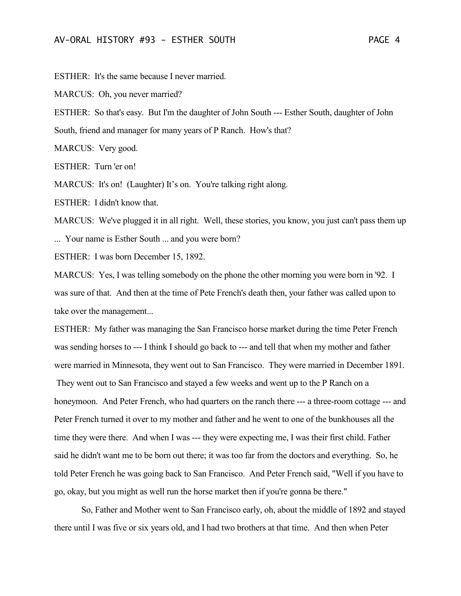ESTHER: It's the same because I never married.

MARCUS: Oh, you never married?

ESTHER: So that's easy. But I'm the daughter of John South --- Esther South, daughter of John

South, friend and manager for many years of P Ranch. How's that?

MARCUS: Very good.

ESTHER: Turn 'er on!

MARCUS: It's on! (Laughter) It's on. You're talking right along.

ESTHER: I didn't know that.

MARCUS: We've plugged it in all right. Well, these stories, you know, you just can't pass them up ... Your name is Esther South ... and you were born?

ESTHER: I was born December 15, 1892.

MARCUS: Yes, I was telling somebody on the phone the other morning you were born in '92. I was sure of that. And then at the time of Pete French's death then, your father was called upon to take over the management...

ESTHER: My father was managing the San Francisco horse market during the time Peter French was sending horses to --- I think I should go back to --- and tell that when my mother and father were married in Minnesota, they went out to San Francisco. They were married in December 1891. They went out to San Francisco and stayed a few weeks and went up to the P Ranch on a honeymoon. And Peter French, who had quarters on the ranch there --- a three-room cottage --- and Peter French turned it over to my mother and father and he went to one of the bunkhouses all the time they were there. And when I was --- they were expecting me, I was their first child. Father said he didn't want me to be born out there; it was too far from the doctors and everything. So, he told Peter French he was going back to San Francisco. And Peter French said, "Well if you have to go, okay, but you might as well run the horse market then if you're gonna be there."

So, Father and Mother went to San Francisco early, oh, about the middle of 1892 and stayed there until I was five or six years old, and I had two brothers at that time. And then when Peter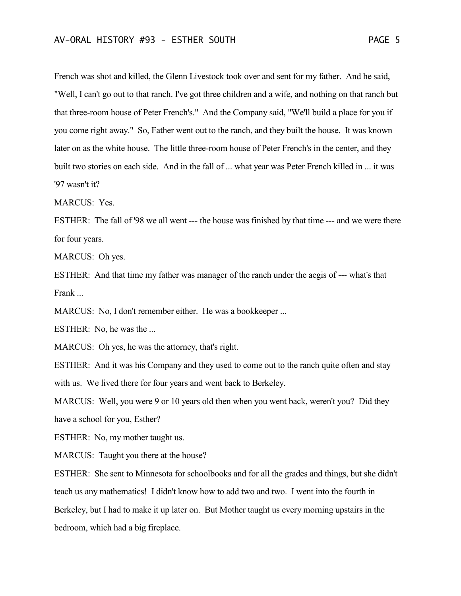French was shot and killed, the Glenn Livestock took over and sent for my father. And he said, "Well, I can't go out to that ranch. I've got three children and a wife, and nothing on that ranch but that three-room house of Peter French's." And the Company said, "We'll build a place for you if you come right away." So, Father went out to the ranch, and they built the house. It was known later on as the white house. The little three-room house of Peter French's in the center, and they built two stories on each side. And in the fall of ... what year was Peter French killed in ... it was '97 wasn't it?

MARCUS: Yes.

ESTHER: The fall of '98 we all went --- the house was finished by that time --- and we were there for four years.

MARCUS: Oh yes.

ESTHER: And that time my father was manager of the ranch under the aegis of --- what's that Frank ...

MARCUS: No, I don't remember either. He was a bookkeeper ...

ESTHER: No, he was the ...

MARCUS: Oh yes, he was the attorney, that's right.

ESTHER: And it was his Company and they used to come out to the ranch quite often and stay with us. We lived there for four years and went back to Berkeley.

MARCUS: Well, you were 9 or 10 years old then when you went back, weren't you? Did they have a school for you, Esther?

ESTHER: No, my mother taught us.

MARCUS: Taught you there at the house?

ESTHER: She sent to Minnesota for schoolbooks and for all the grades and things, but she didn't teach us any mathematics! I didn't know how to add two and two. I went into the fourth in Berkeley, but I had to make it up later on. But Mother taught us every morning upstairs in the bedroom, which had a big fireplace.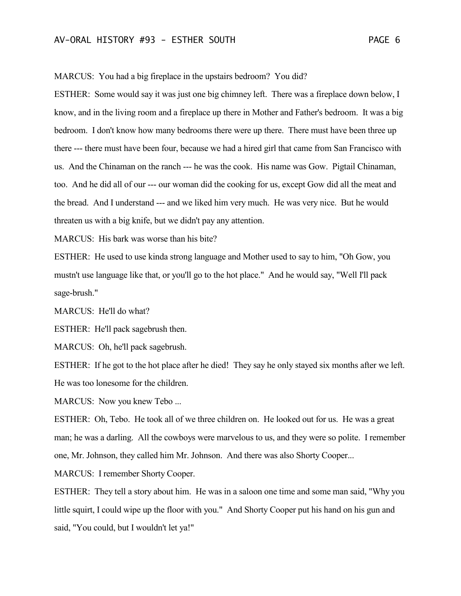MARCUS: You had a big fireplace in the upstairs bedroom? You did?

ESTHER: Some would say it was just one big chimney left. There was a fireplace down below, I know, and in the living room and a fireplace up there in Mother and Father's bedroom. It was a big bedroom. I don't know how many bedrooms there were up there. There must have been three up there --- there must have been four, because we had a hired girl that came from San Francisco with us. And the Chinaman on the ranch --- he was the cook. His name was Gow. Pigtail Chinaman, too. And he did all of our --- our woman did the cooking for us, except Gow did all the meat and the bread. And I understand --- and we liked him very much. He was very nice. But he would threaten us with a big knife, but we didn't pay any attention.

MARCUS: His bark was worse than his bite?

ESTHER: He used to use kinda strong language and Mother used to say to him, "Oh Gow, you mustn't use language like that, or you'll go to the hot place." And he would say, "Well I'll pack sage-brush."

MARCUS: He'll do what?

ESTHER: He'll pack sagebrush then.

MARCUS: Oh, he'll pack sagebrush.

ESTHER: If he got to the hot place after he died! They say he only stayed six months after we left. He was too lonesome for the children.

MARCUS: Now you knew Tebo ...

ESTHER: Oh, Tebo. He took all of we three children on. He looked out for us. He was a great man; he was a darling. All the cowboys were marvelous to us, and they were so polite. I remember one, Mr. Johnson, they called him Mr. Johnson. And there was also Shorty Cooper...

MARCUS: I remember Shorty Cooper.

ESTHER: They tell a story about him. He was in a saloon one time and some man said, "Why you little squirt, I could wipe up the floor with you." And Shorty Cooper put his hand on his gun and said, "You could, but I wouldn't let ya!"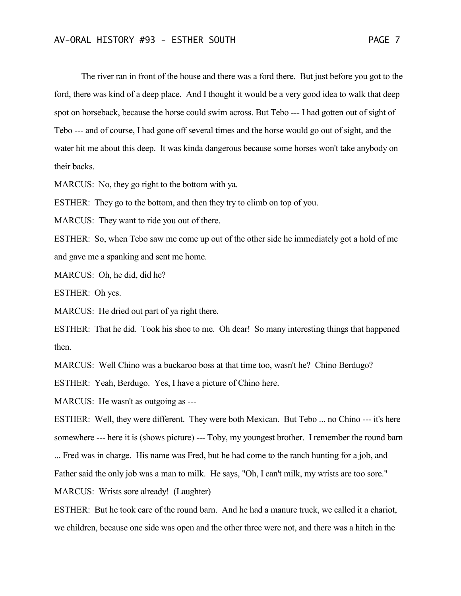The river ran in front of the house and there was a ford there. But just before you got to the ford, there was kind of a deep place. And I thought it would be a very good idea to walk that deep spot on horseback, because the horse could swim across. But Tebo --- I had gotten out of sight of Tebo --- and of course, I had gone off several times and the horse would go out of sight, and the water hit me about this deep. It was kinda dangerous because some horses won't take anybody on their backs.

MARCUS: No, they go right to the bottom with ya.

ESTHER: They go to the bottom, and then they try to climb on top of you.

MARCUS: They want to ride you out of there.

ESTHER: So, when Tebo saw me come up out of the other side he immediately got a hold of me and gave me a spanking and sent me home.

MARCUS: Oh, he did, did he?

ESTHER: Oh yes.

MARCUS: He dried out part of ya right there.

ESTHER: That he did. Took his shoe to me. Oh dear! So many interesting things that happened then.

MARCUS: Well Chino was a buckaroo boss at that time too, wasn't he? Chino Berdugo?

ESTHER: Yeah, Berdugo. Yes, I have a picture of Chino here.

MARCUS: He wasn't as outgoing as ---

ESTHER: Well, they were different. They were both Mexican. But Tebo ... no Chino --- it's here somewhere --- here it is (shows picture) --- Toby, my youngest brother. I remember the round barn

... Fred was in charge. His name was Fred, but he had come to the ranch hunting for a job, and

Father said the only job was a man to milk. He says, "Oh, I can't milk, my wrists are too sore."

MARCUS: Wrists sore already! (Laughter)

ESTHER: But he took care of the round barn. And he had a manure truck, we called it a chariot, we children, because one side was open and the other three were not, and there was a hitch in the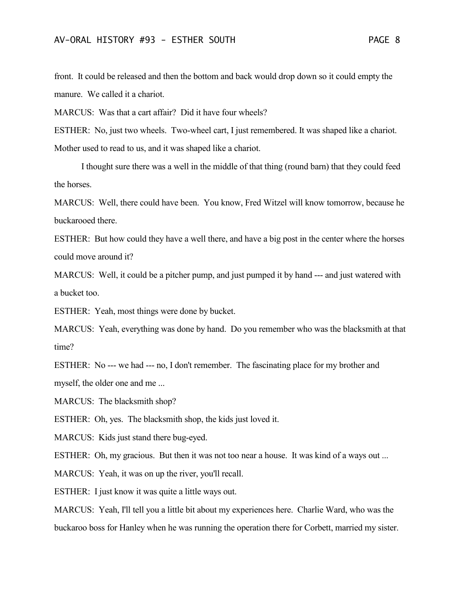front. It could be released and then the bottom and back would drop down so it could empty the manure. We called it a chariot.

MARCUS: Was that a cart affair? Did it have four wheels?

ESTHER: No, just two wheels. Two-wheel cart, I just remembered. It was shaped like a chariot. Mother used to read to us, and it was shaped like a chariot.

I thought sure there was a well in the middle of that thing (round barn) that they could feed the horses.

MARCUS: Well, there could have been. You know, Fred Witzel will know tomorrow, because he buckarooed there.

ESTHER: But how could they have a well there, and have a big post in the center where the horses could move around it?

MARCUS: Well, it could be a pitcher pump, and just pumped it by hand --- and just watered with a bucket too.

ESTHER: Yeah, most things were done by bucket.

MARCUS: Yeah, everything was done by hand. Do you remember who was the blacksmith at that time?

ESTHER: No --- we had --- no, I don't remember. The fascinating place for my brother and myself, the older one and me ...

MARCUS: The blacksmith shop?

ESTHER: Oh, yes. The blacksmith shop, the kids just loved it.

MARCUS: Kids just stand there bug-eyed.

ESTHER: Oh, my gracious. But then it was not too near a house. It was kind of a ways out ...

MARCUS: Yeah, it was on up the river, you'll recall.

ESTHER: I just know it was quite a little ways out.

MARCUS: Yeah, I'll tell you a little bit about my experiences here. Charlie Ward, who was the buckaroo boss for Hanley when he was running the operation there for Corbett, married my sister.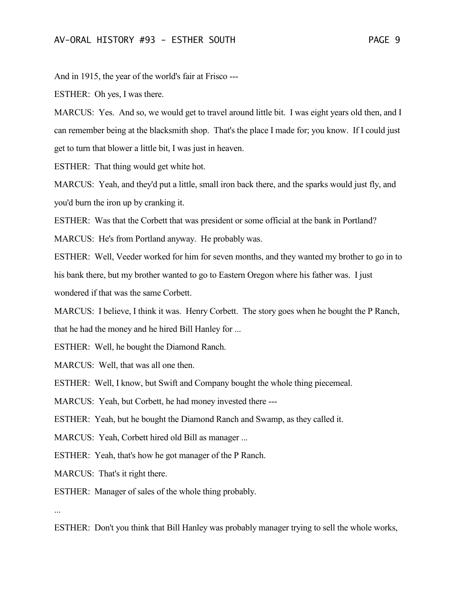And in 1915, the year of the world's fair at Frisco ---

ESTHER: Oh yes, I was there.

MARCUS: Yes. And so, we would get to travel around little bit. I was eight years old then, and I can remember being at the blacksmith shop. That's the place I made for; you know. If I could just get to turn that blower a little bit, I was just in heaven.

ESTHER: That thing would get white hot.

MARCUS: Yeah, and they'd put a little, small iron back there, and the sparks would just fly, and you'd burn the iron up by cranking it.

ESTHER: Was that the Corbett that was president or some official at the bank in Portland?

MARCUS: He's from Portland anyway. He probably was.

ESTHER: Well, Veeder worked for him for seven months, and they wanted my brother to go in to his bank there, but my brother wanted to go to Eastern Oregon where his father was. I just wondered if that was the same Corbett.

MARCUS: I believe, I think it was. Henry Corbett. The story goes when he bought the P Ranch, that he had the money and he hired Bill Hanley for ...

ESTHER: Well, he bought the Diamond Ranch.

MARCUS: Well, that was all one then.

ESTHER: Well, I know, but Swift and Company bought the whole thing piecemeal.

MARCUS: Yeah, but Corbett, he had money invested there ---

ESTHER: Yeah, but he bought the Diamond Ranch and Swamp, as they called it.

MARCUS: Yeah, Corbett hired old Bill as manager ...

ESTHER: Yeah, that's how he got manager of the P Ranch.

MARCUS: That's it right there.

ESTHER: Manager of sales of the whole thing probably.

...

ESTHER: Don't you think that Bill Hanley was probably manager trying to sell the whole works,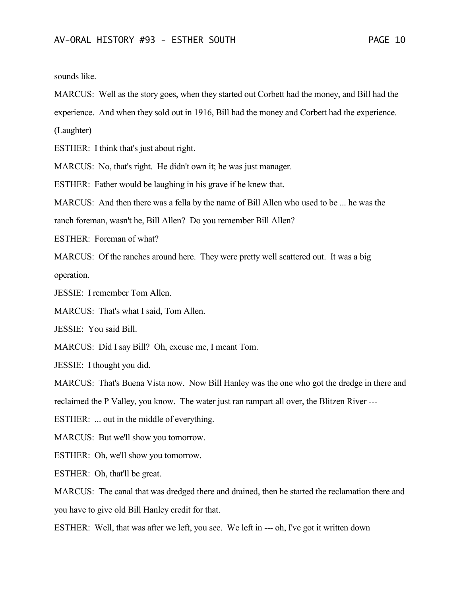sounds like.

MARCUS: Well as the story goes, when they started out Corbett had the money, and Bill had the

experience. And when they sold out in 1916, Bill had the money and Corbett had the experience.

(Laughter)

ESTHER: I think that's just about right.

MARCUS: No, that's right. He didn't own it; he was just manager.

ESTHER: Father would be laughing in his grave if he knew that.

MARCUS: And then there was a fella by the name of Bill Allen who used to be ... he was the

ranch foreman, wasn't he, Bill Allen? Do you remember Bill Allen?

ESTHER: Foreman of what?

MARCUS: Of the ranches around here. They were pretty well scattered out. It was a big operation.

JESSIE: I remember Tom Allen.

MARCUS: That's what I said, Tom Allen.

JESSIE: You said Bill.

MARCUS: Did I say Bill? Oh, excuse me, I meant Tom.

JESSIE: I thought you did.

MARCUS: That's Buena Vista now. Now Bill Hanley was the one who got the dredge in there and

reclaimed the P Valley, you know. The water just ran rampart all over, the Blitzen River ---

ESTHER: ... out in the middle of everything.

MARCUS: But we'll show you tomorrow.

ESTHER: Oh, we'll show you tomorrow.

ESTHER: Oh, that'll be great.

MARCUS: The canal that was dredged there and drained, then he started the reclamation there and you have to give old Bill Hanley credit for that.

ESTHER: Well, that was after we left, you see. We left in --- oh, I've got it written down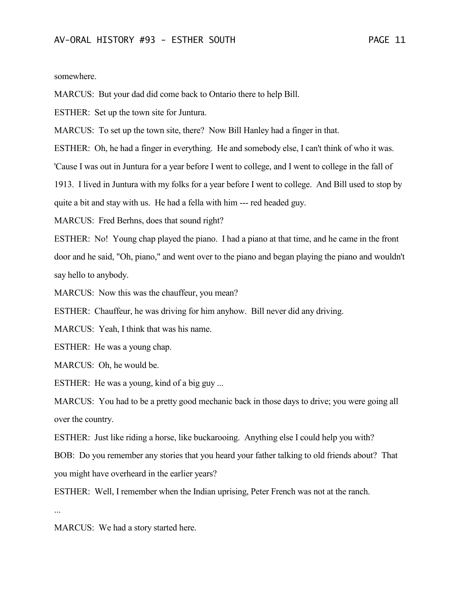somewhere.

MARCUS: But your dad did come back to Ontario there to help Bill.

ESTHER: Set up the town site for Juntura.

MARCUS: To set up the town site, there? Now Bill Hanley had a finger in that.

ESTHER: Oh, he had a finger in everything. He and somebody else, I can't think of who it was.

'Cause I was out in Juntura for a year before I went to college, and I went to college in the fall of

1913. I lived in Juntura with my folks for a year before I went to college. And Bill used to stop by

quite a bit and stay with us. He had a fella with him --- red headed guy.

MARCUS: Fred Berhns, does that sound right?

ESTHER: No! Young chap played the piano. I had a piano at that time, and he came in the front door and he said, "Oh, piano," and went over to the piano and began playing the piano and wouldn't say hello to anybody.

MARCUS: Now this was the chauffeur, you mean?

ESTHER: Chauffeur, he was driving for him anyhow. Bill never did any driving.

MARCUS: Yeah, I think that was his name.

ESTHER: He was a young chap.

MARCUS: Oh, he would be.

ESTHER: He was a young, kind of a big guy ...

MARCUS: You had to be a pretty good mechanic back in those days to drive; you were going all over the country.

ESTHER: Just like riding a horse, like buckarooing. Anything else I could help you with?

BOB: Do you remember any stories that you heard your father talking to old friends about? That you might have overheard in the earlier years?

ESTHER: Well, I remember when the Indian uprising, Peter French was not at the ranch.

...

MARCUS: We had a story started here.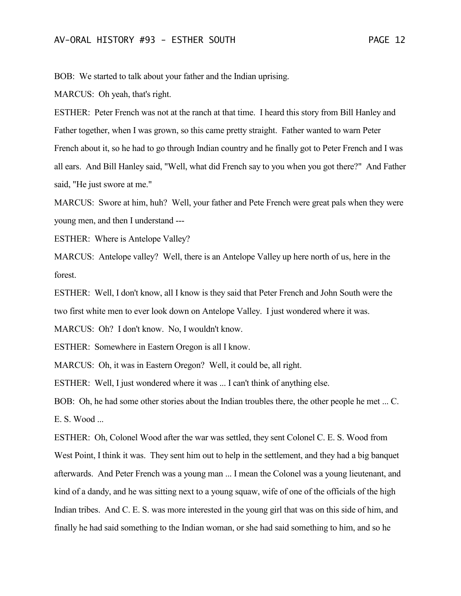BOB: We started to talk about your father and the Indian uprising.

MARCUS: Oh yeah, that's right.

ESTHER: Peter French was not at the ranch at that time. I heard this story from Bill Hanley and Father together, when I was grown, so this came pretty straight. Father wanted to warn Peter French about it, so he had to go through Indian country and he finally got to Peter French and I was all ears. And Bill Hanley said, "Well, what did French say to you when you got there?" And Father said, "He just swore at me."

MARCUS: Swore at him, huh? Well, your father and Pete French were great pals when they were young men, and then I understand ---

ESTHER: Where is Antelope Valley?

MARCUS: Antelope valley? Well, there is an Antelope Valley up here north of us, here in the forest.

ESTHER: Well, I don't know, all I know is they said that Peter French and John South were the two first white men to ever look down on Antelope Valley. I just wondered where it was.

MARCUS: Oh? I don't know. No, I wouldn't know.

ESTHER: Somewhere in Eastern Oregon is all I know.

MARCUS: Oh, it was in Eastern Oregon? Well, it could be, all right.

ESTHER: Well, I just wondered where it was ... I can't think of anything else.

BOB: Oh, he had some other stories about the Indian troubles there, the other people he met ... C. E. S. Wood ...

ESTHER: Oh, Colonel Wood after the war was settled, they sent Colonel C. E. S. Wood from West Point, I think it was. They sent him out to help in the settlement, and they had a big banquet afterwards. And Peter French was a young man ... I mean the Colonel was a young lieutenant, and kind of a dandy, and he was sitting next to a young squaw, wife of one of the officials of the high Indian tribes. And C. E. S. was more interested in the young girl that was on this side of him, and finally he had said something to the Indian woman, or she had said something to him, and so he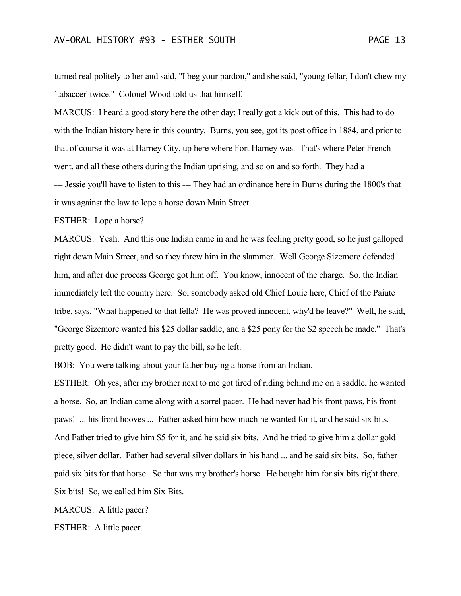turned real politely to her and said, "I beg your pardon," and she said, "young fellar, I don't chew my `tabaccer' twice." Colonel Wood told us that himself.

MARCUS: I heard a good story here the other day; I really got a kick out of this. This had to do with the Indian history here in this country. Burns, you see, got its post office in 1884, and prior to that of course it was at Harney City, up here where Fort Harney was. That's where Peter French went, and all these others during the Indian uprising, and so on and so forth. They had a --- Jessie you'll have to listen to this --- They had an ordinance here in Burns during the 1800's that it was against the law to lope a horse down Main Street.

ESTHER: Lope a horse?

MARCUS: Yeah. And this one Indian came in and he was feeling pretty good, so he just galloped right down Main Street, and so they threw him in the slammer. Well George Sizemore defended him, and after due process George got him off. You know, innocent of the charge. So, the Indian immediately left the country here. So, somebody asked old Chief Louie here, Chief of the Paiute tribe, says, "What happened to that fella? He was proved innocent, why'd he leave?" Well, he said, "George Sizemore wanted his \$25 dollar saddle, and a \$25 pony for the \$2 speech he made." That's pretty good. He didn't want to pay the bill, so he left.

BOB: You were talking about your father buying a horse from an Indian.

ESTHER: Oh yes, after my brother next to me got tired of riding behind me on a saddle, he wanted a horse. So, an Indian came along with a sorrel pacer. He had never had his front paws, his front paws! ... his front hooves ... Father asked him how much he wanted for it, and he said six bits. And Father tried to give him \$5 for it, and he said six bits. And he tried to give him a dollar gold piece, silver dollar. Father had several silver dollars in his hand ... and he said six bits. So, father paid six bits for that horse. So that was my brother's horse. He bought him for six bits right there. Six bits! So, we called him Six Bits.

MARCUS: A little pacer?

ESTHER: A little pacer.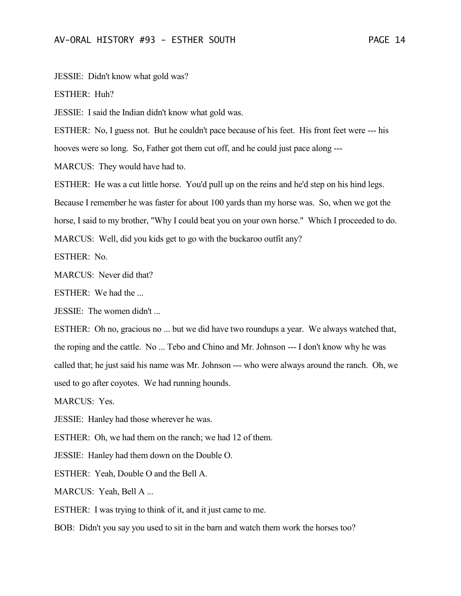JESSIE: Didn't know what gold was?

ESTHER: Huh?

JESSIE: I said the Indian didn't know what gold was.

ESTHER: No, I guess not. But he couldn't pace because of his feet. His front feet were --- his

hooves were so long. So, Father got them cut off, and he could just pace along ---

MARCUS: They would have had to.

ESTHER: He was a cut little horse. You'd pull up on the reins and he'd step on his hind legs. Because I remember he was faster for about 100 yards than my horse was. So, when we got the horse, I said to my brother, "Why I could beat you on your own horse." Which I proceeded to do. MARCUS: Well, did you kids get to go with the buckaroo outfit any?

ESTHER: No.

MARCUS: Never did that?

ESTHER: We had the ...

JESSIE: The women didn't ...

ESTHER: Oh no, gracious no ... but we did have two roundups a year. We always watched that, the roping and the cattle. No ... Tebo and Chino and Mr. Johnson --- I don't know why he was called that; he just said his name was Mr. Johnson --- who were always around the ranch. Oh, we used to go after coyotes. We had running hounds.

MARCUS: Yes.

JESSIE: Hanley had those wherever he was.

ESTHER: Oh, we had them on the ranch; we had 12 of them.

JESSIE: Hanley had them down on the Double O.

ESTHER: Yeah, Double O and the Bell A.

MARCUS: Yeah, Bell A ...

ESTHER: I was trying to think of it, and it just came to me.

BOB: Didn't you say you used to sit in the barn and watch them work the horses too?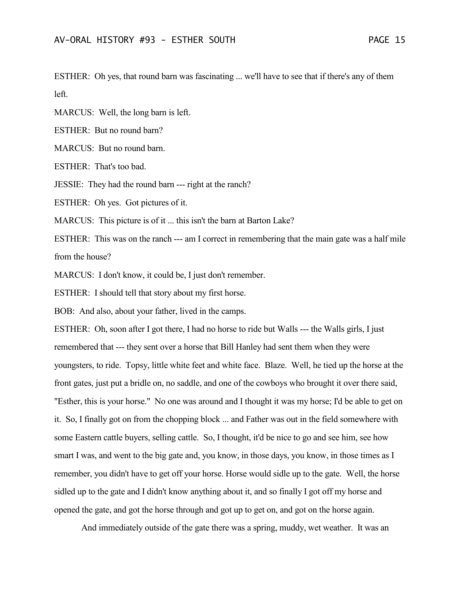ESTHER: Oh yes, that round barn was fascinating ... we'll have to see that if there's any of them left.

MARCUS: Well, the long barn is left.

ESTHER: But no round barn?

MARCUS: But no round barn.

ESTHER: That's too bad.

JESSIE: They had the round barn --- right at the ranch?

ESTHER: Oh yes. Got pictures of it.

MARCUS: This picture is of it ... this isn't the barn at Barton Lake?

ESTHER: This was on the ranch --- am I correct in remembering that the main gate was a half mile from the house?

MARCUS: I don't know, it could be, I just don't remember.

ESTHER: I should tell that story about my first horse.

BOB: And also, about your father, lived in the camps.

ESTHER: Oh, soon after I got there, I had no horse to ride but Walls --- the Walls girls, I just remembered that --- they sent over a horse that Bill Hanley had sent them when they were youngsters, to ride. Topsy, little white feet and white face. Blaze. Well, he tied up the horse at the front gates, just put a bridle on, no saddle, and one of the cowboys who brought it over there said, "Esther, this is your horse." No one was around and I thought it was my horse; I'd be able to get on it. So, I finally got on from the chopping block ... and Father was out in the field somewhere with some Eastern cattle buyers, selling cattle. So, I thought, it'd be nice to go and see him, see how smart I was, and went to the big gate and, you know, in those days, you know, in those times as I remember, you didn't have to get off your horse. Horse would sidle up to the gate. Well, the horse sidled up to the gate and I didn't know anything about it, and so finally I got off my horse and opened the gate, and got the horse through and got up to get on, and got on the horse again.

And immediately outside of the gate there was a spring, muddy, wet weather. It was an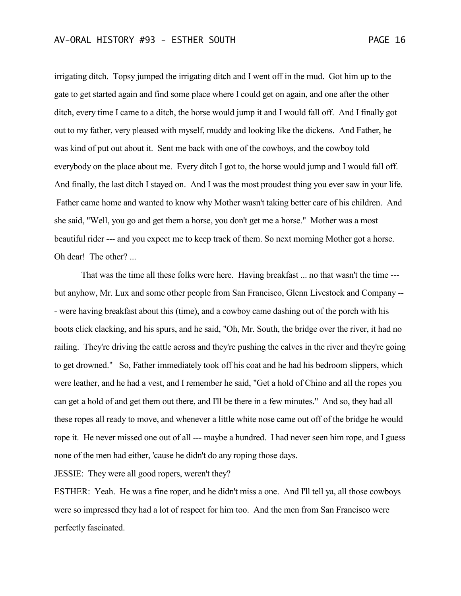irrigating ditch. Topsy jumped the irrigating ditch and I went off in the mud. Got him up to the gate to get started again and find some place where I could get on again, and one after the other ditch, every time I came to a ditch, the horse would jump it and I would fall off. And I finally got out to my father, very pleased with myself, muddy and looking like the dickens. And Father, he was kind of put out about it. Sent me back with one of the cowboys, and the cowboy told everybody on the place about me. Every ditch I got to, the horse would jump and I would fall off. And finally, the last ditch I stayed on. And I was the most proudest thing you ever saw in your life. Father came home and wanted to know why Mother wasn't taking better care of his children. And she said, "Well, you go and get them a horse, you don't get me a horse." Mother was a most beautiful rider --- and you expect me to keep track of them. So next morning Mother got a horse. Oh dear! The other? ...

That was the time all these folks were here. Having breakfast ... no that wasn't the time -- but anyhow, Mr. Lux and some other people from San Francisco, Glenn Livestock and Company -- - were having breakfast about this (time), and a cowboy came dashing out of the porch with his boots click clacking, and his spurs, and he said, "Oh, Mr. South, the bridge over the river, it had no railing. They're driving the cattle across and they're pushing the calves in the river and they're going to get drowned." So, Father immediately took off his coat and he had his bedroom slippers, which were leather, and he had a vest, and I remember he said, "Get a hold of Chino and all the ropes you can get a hold of and get them out there, and I'll be there in a few minutes." And so, they had all these ropes all ready to move, and whenever a little white nose came out off of the bridge he would rope it. He never missed one out of all --- maybe a hundred. I had never seen him rope, and I guess none of the men had either, 'cause he didn't do any roping those days.

JESSIE: They were all good ropers, weren't they?

ESTHER: Yeah. He was a fine roper, and he didn't miss a one. And I'll tell ya, all those cowboys were so impressed they had a lot of respect for him too. And the men from San Francisco were perfectly fascinated.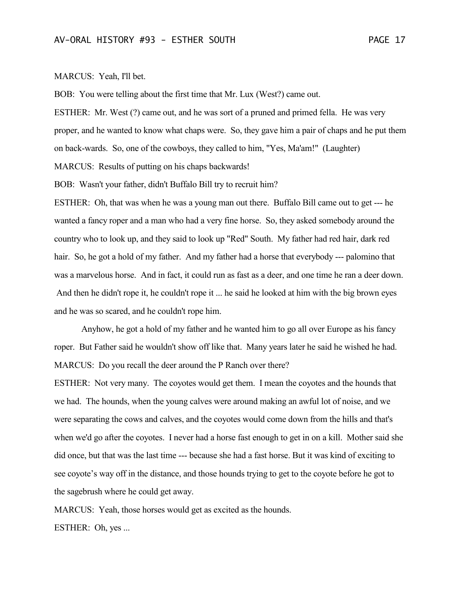BOB: You were telling about the first time that Mr. Lux (West?) came out.

ESTHER: Mr. West (?) came out, and he was sort of a pruned and primed fella. He was very proper, and he wanted to know what chaps were. So, they gave him a pair of chaps and he put them on back-wards. So, one of the cowboys, they called to him, "Yes, Ma'am!" (Laughter) MARCUS: Results of putting on his chaps backwards!

BOB: Wasn't your father, didn't Buffalo Bill try to recruit him?

ESTHER: Oh, that was when he was a young man out there. Buffalo Bill came out to get --- he wanted a fancy roper and a man who had a very fine horse. So, they asked somebody around the country who to look up, and they said to look up "Red" South. My father had red hair, dark red hair. So, he got a hold of my father. And my father had a horse that everybody --- palomino that was a marvelous horse. And in fact, it could run as fast as a deer, and one time he ran a deer down. And then he didn't rope it, he couldn't rope it ... he said he looked at him with the big brown eyes and he was so scared, and he couldn't rope him.

Anyhow, he got a hold of my father and he wanted him to go all over Europe as his fancy roper. But Father said he wouldn't show off like that. Many years later he said he wished he had. MARCUS: Do you recall the deer around the P Ranch over there?

ESTHER: Not very many. The coyotes would get them. I mean the coyotes and the hounds that we had. The hounds, when the young calves were around making an awful lot of noise, and we were separating the cows and calves, and the coyotes would come down from the hills and that's when we'd go after the coyotes. I never had a horse fast enough to get in on a kill. Mother said she did once, but that was the last time --- because she had a fast horse. But it was kind of exciting to see coyote's way off in the distance, and those hounds trying to get to the coyote before he got to the sagebrush where he could get away.

MARCUS: Yeah, those horses would get as excited as the hounds.

ESTHER: Oh, yes ...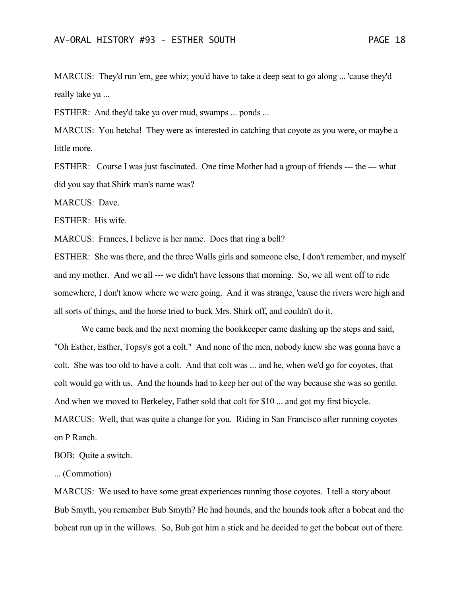MARCUS: They'd run 'em, gee whiz; you'd have to take a deep seat to go along ... 'cause they'd really take ya ...

ESTHER: And they'd take ya over mud, swamps ... ponds ...

MARCUS: You betcha! They were as interested in catching that coyote as you were, or maybe a little more.

ESTHER: Course I was just fascinated. One time Mother had a group of friends --- the --- what did you say that Shirk man's name was?

MARCUS: Dave.

ESTHER: His wife.

MARCUS: Frances, I believe is her name. Does that ring a bell?

ESTHER: She was there, and the three Walls girls and someone else, I don't remember, and myself and my mother. And we all --- we didn't have lessons that morning. So, we all went off to ride somewhere, I don't know where we were going. And it was strange, 'cause the rivers were high and all sorts of things, and the horse tried to buck Mrs. Shirk off, and couldn't do it.

We came back and the next morning the bookkeeper came dashing up the steps and said, "Oh Esther, Esther, Topsy's got a colt." And none of the men, nobody knew she was gonna have a colt. She was too old to have a colt. And that colt was ... and he, when we'd go for coyotes, that colt would go with us. And the hounds had to keep her out of the way because she was so gentle. And when we moved to Berkeley, Father sold that colt for \$10 ... and got my first bicycle. MARCUS: Well, that was quite a change for you. Riding in San Francisco after running coyotes on P Ranch.

BOB: Quite a switch.

... (Commotion)

MARCUS: We used to have some great experiences running those coyotes. I tell a story about Bub Smyth, you remember Bub Smyth? He had hounds, and the hounds took after a bobcat and the bobcat run up in the willows. So, Bub got him a stick and he decided to get the bobcat out of there.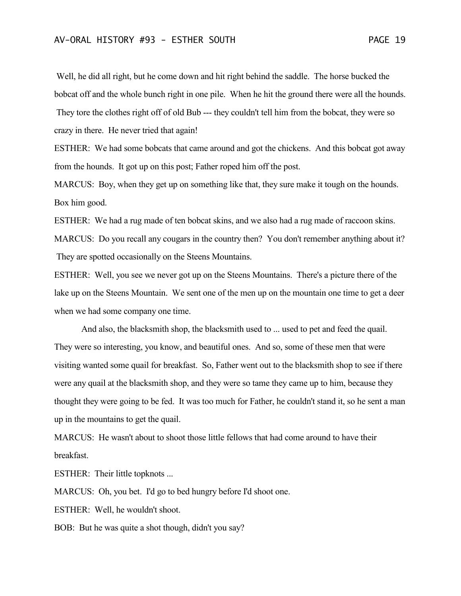Well, he did all right, but he come down and hit right behind the saddle. The horse bucked the bobcat off and the whole bunch right in one pile. When he hit the ground there were all the hounds. They tore the clothes right off of old Bub --- they couldn't tell him from the bobcat, they were so crazy in there. He never tried that again!

ESTHER: We had some bobcats that came around and got the chickens. And this bobcat got away from the hounds. It got up on this post; Father roped him off the post.

MARCUS: Boy, when they get up on something like that, they sure make it tough on the hounds. Box him good.

ESTHER: We had a rug made of ten bobcat skins, and we also had a rug made of raccoon skins.

MARCUS: Do you recall any cougars in the country then? You don't remember anything about it? They are spotted occasionally on the Steens Mountains.

ESTHER: Well, you see we never got up on the Steens Mountains. There's a picture there of the lake up on the Steens Mountain. We sent one of the men up on the mountain one time to get a deer when we had some company one time.

And also, the blacksmith shop, the blacksmith used to ... used to pet and feed the quail. They were so interesting, you know, and beautiful ones. And so, some of these men that were visiting wanted some quail for breakfast. So, Father went out to the blacksmith shop to see if there were any quail at the blacksmith shop, and they were so tame they came up to him, because they thought they were going to be fed. It was too much for Father, he couldn't stand it, so he sent a man up in the mountains to get the quail.

MARCUS: He wasn't about to shoot those little fellows that had come around to have their breakfast.

ESTHER: Their little topknots ...

MARCUS: Oh, you bet. I'd go to bed hungry before I'd shoot one.

ESTHER: Well, he wouldn't shoot.

BOB: But he was quite a shot though, didn't you say?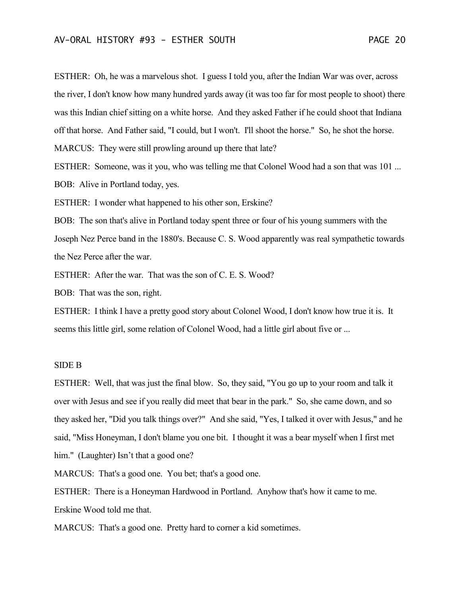ESTHER: Oh, he was a marvelous shot. I guess I told you, after the Indian War was over, across the river, I don't know how many hundred yards away (it was too far for most people to shoot) there was this Indian chief sitting on a white horse. And they asked Father if he could shoot that Indiana off that horse. And Father said, "I could, but I won't. I'll shoot the horse." So, he shot the horse. MARCUS: They were still prowling around up there that late?

ESTHER: Someone, was it you, who was telling me that Colonel Wood had a son that was 101 ... BOB: Alive in Portland today, yes.

ESTHER: I wonder what happened to his other son, Erskine?

BOB: The son that's alive in Portland today spent three or four of his young summers with the Joseph Nez Perce band in the 1880's. Because C. S. Wood apparently was real sympathetic towards the Nez Perce after the war.

ESTHER: After the war. That was the son of C. E. S. Wood?

BOB: That was the son, right.

ESTHER: I think I have a pretty good story about Colonel Wood, I don't know how true it is. It seems this little girl, some relation of Colonel Wood, had a little girl about five or ...

## SIDE B

ESTHER: Well, that was just the final blow. So, they said, "You go up to your room and talk it over with Jesus and see if you really did meet that bear in the park." So, she came down, and so they asked her, "Did you talk things over?" And she said, "Yes, I talked it over with Jesus," and he said, "Miss Honeyman, I don't blame you one bit. I thought it was a bear myself when I first met him." (Laughter) Isn't that a good one?

MARCUS: That's a good one. You bet; that's a good one.

ESTHER: There is a Honeyman Hardwood in Portland. Anyhow that's how it came to me. Erskine Wood told me that.

MARCUS: That's a good one. Pretty hard to corner a kid sometimes.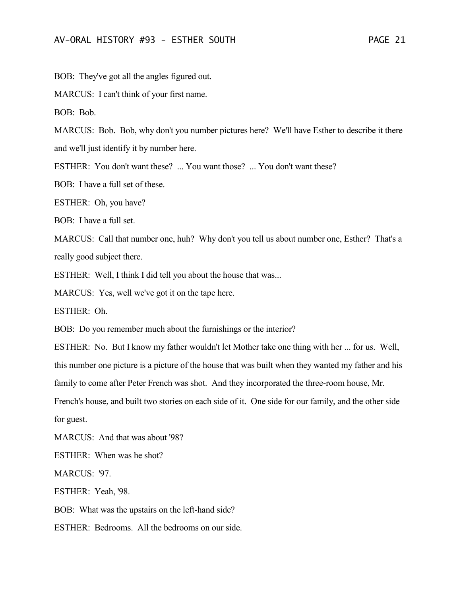BOB: They've got all the angles figured out.

MARCUS: I can't think of your first name.

BOB: Bob.

MARCUS: Bob. Bob, why don't you number pictures here? We'll have Esther to describe it there and we'll just identify it by number here.

ESTHER: You don't want these? ... You want those? ... You don't want these?

BOB: I have a full set of these.

ESTHER: Oh, you have?

BOB: I have a full set.

MARCUS: Call that number one, huh? Why don't you tell us about number one, Esther? That's a really good subject there.

ESTHER: Well, I think I did tell you about the house that was...

MARCUS: Yes, well we've got it on the tape here.

ESTHER: Oh.

BOB: Do you remember much about the furnishings or the interior?

ESTHER: No. But I know my father wouldn't let Mother take one thing with her ... for us. Well, this number one picture is a picture of the house that was built when they wanted my father and his

family to come after Peter French was shot. And they incorporated the three-room house, Mr.

French's house, and built two stories on each side of it. One side for our family, and the other side for guest.

MARCUS: And that was about '98?

ESTHER: When was he shot?

MARCUS: '97.

ESTHER: Yeah, '98.

BOB: What was the upstairs on the left-hand side?

ESTHER: Bedrooms. All the bedrooms on our side.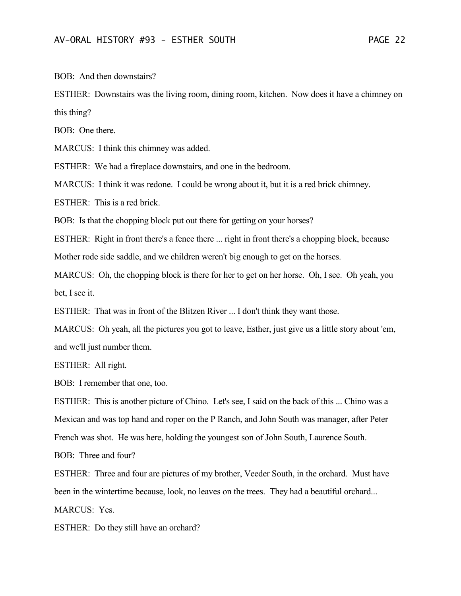BOB: And then downstairs?

ESTHER: Downstairs was the living room, dining room, kitchen. Now does it have a chimney on this thing?

BOB: One there.

MARCUS: I think this chimney was added.

ESTHER: We had a fireplace downstairs, and one in the bedroom.

MARCUS: I think it was redone. I could be wrong about it, but it is a red brick chimney.

ESTHER: This is a red brick.

BOB: Is that the chopping block put out there for getting on your horses?

ESTHER: Right in front there's a fence there ... right in front there's a chopping block, because Mother rode side saddle, and we children weren't big enough to get on the horses.

MARCUS: Oh, the chopping block is there for her to get on her horse. Oh, I see. Oh yeah, you bet, I see it.

ESTHER: That was in front of the Blitzen River ... I don't think they want those.

MARCUS: Oh yeah, all the pictures you got to leave, Esther, just give us a little story about 'em, and we'll just number them.

ESTHER: All right.

BOB: I remember that one, too.

ESTHER: This is another picture of Chino. Let's see, I said on the back of this ... Chino was a Mexican and was top hand and roper on the P Ranch, and John South was manager, after Peter French was shot. He was here, holding the youngest son of John South, Laurence South.

BOB: Three and four?

ESTHER: Three and four are pictures of my brother, Veeder South, in the orchard. Must have been in the wintertime because, look, no leaves on the trees. They had a beautiful orchard... MARCUS: Yes.

ESTHER: Do they still have an orchard?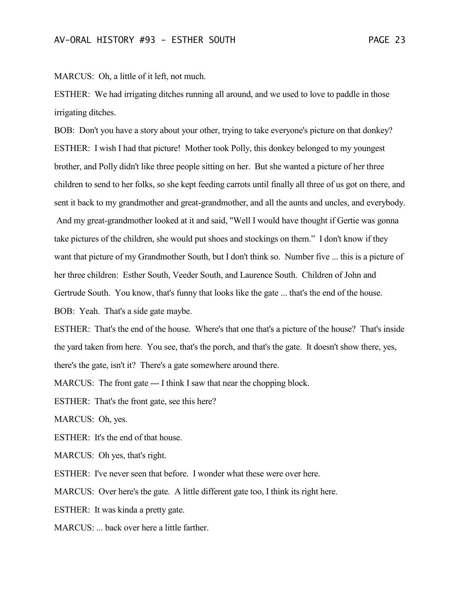MARCUS: Oh, a little of it left, not much.

ESTHER: We had irrigating ditches running all around, and we used to love to paddle in those irrigating ditches.

BOB: Don't you have a story about your other, trying to take everyone's picture on that donkey? ESTHER: I wish I had that picture! Mother took Polly, this donkey belonged to my youngest brother, and Polly didn't like three people sitting on her. But she wanted a picture of her three children to send to her folks, so she kept feeding carrots until finally all three of us got on there, and sent it back to my grandmother and great-grandmother, and all the aunts and uncles, and everybody. And my great-grandmother looked at it and said, "Well I would have thought if Gertie was gonna take pictures of the children, she would put shoes and stockings on them." I don't know if they want that picture of my Grandmother South, but I don't think so. Number five ... this is a picture of her three children: Esther South, Veeder South, and Laurence South. Children of John and Gertrude South. You know, that's funny that looks like the gate ... that's the end of the house.

BOB: Yeah. That's a side gate maybe.

ESTHER: That's the end of the house. Where's that one that's a picture of the house? That's inside the yard taken from here. You see, that's the porch, and that's the gate. It doesn't show there, yes, there's the gate, isn't it? There's a gate somewhere around there.

MARCUS: The front gate --- I think I saw that near the chopping block.

ESTHER: That's the front gate, see this here?

MARCUS: Oh, yes.

ESTHER: It's the end of that house.

MARCUS: Oh yes, that's right.

ESTHER: I've never seen that before. I wonder what these were over here.

MARCUS: Over here's the gate. A little different gate too, I think its right here.

ESTHER: It was kinda a pretty gate.

MARCUS: ... back over here a little farther.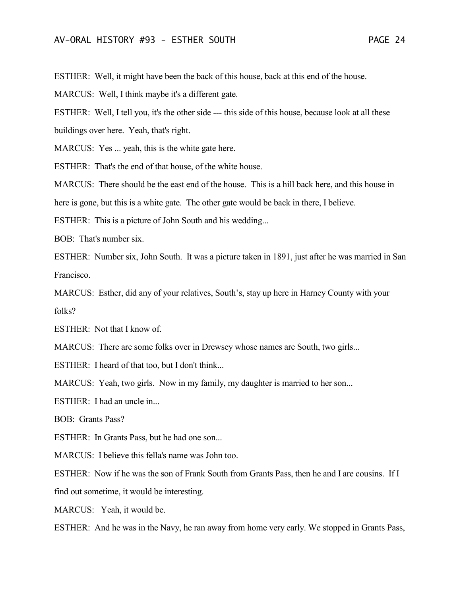ESTHER: Well, it might have been the back of this house, back at this end of the house.

MARCUS: Well, I think maybe it's a different gate.

ESTHER: Well, I tell you, it's the other side --- this side of this house, because look at all these

buildings over here. Yeah, that's right.

MARCUS: Yes ... yeah, this is the white gate here.

ESTHER: That's the end of that house, of the white house.

MARCUS: There should be the east end of the house. This is a hill back here, and this house in

here is gone, but this is a white gate. The other gate would be back in there, I believe.

ESTHER: This is a picture of John South and his wedding...

BOB: That's number six.

ESTHER: Number six, John South. It was a picture taken in 1891, just after he was married in San Francisco.

MARCUS: Esther, did any of your relatives, South's, stay up here in Harney County with your folks?

ESTHER: Not that I know of.

MARCUS: There are some folks over in Drewsey whose names are South, two girls...

ESTHER: I heard of that too, but I don't think...

MARCUS: Yeah, two girls. Now in my family, my daughter is married to her son...

ESTHER: I had an uncle in...

BOB: Grants Pass?

ESTHER: In Grants Pass, but he had one son...

MARCUS: I believe this fella's name was John too.

ESTHER: Now if he was the son of Frank South from Grants Pass, then he and I are cousins. If I

find out sometime, it would be interesting.

MARCUS: Yeah, it would be.

ESTHER: And he was in the Navy, he ran away from home very early. We stopped in Grants Pass,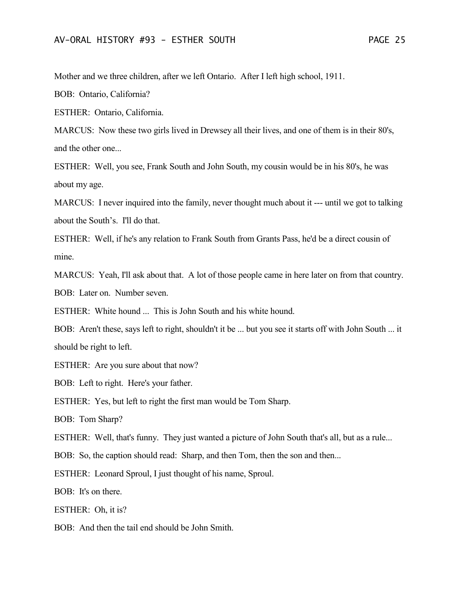Mother and we three children, after we left Ontario. After I left high school, 1911.

BOB: Ontario, California?

ESTHER: Ontario, California.

MARCUS: Now these two girls lived in Drewsey all their lives, and one of them is in their 80's, and the other one...

ESTHER: Well, you see, Frank South and John South, my cousin would be in his 80's, he was about my age.

MARCUS: I never inquired into the family, never thought much about it --- until we got to talking about the South's. I'll do that.

ESTHER: Well, if he's any relation to Frank South from Grants Pass, he'd be a direct cousin of mine.

MARCUS: Yeah, I'll ask about that. A lot of those people came in here later on from that country. BOB: Later on. Number seven.

ESTHER: White hound ... This is John South and his white hound.

BOB: Aren't these, says left to right, shouldn't it be ... but you see it starts off with John South ... it should be right to left.

ESTHER: Are you sure about that now?

BOB: Left to right. Here's your father.

ESTHER: Yes, but left to right the first man would be Tom Sharp.

BOB: Tom Sharp?

ESTHER: Well, that's funny. They just wanted a picture of John South that's all, but as a rule...

BOB: So, the caption should read: Sharp, and then Tom, then the son and then...

ESTHER: Leonard Sproul, I just thought of his name, Sproul.

BOB: It's on there.

ESTHER: Oh, it is?

BOB: And then the tail end should be John Smith.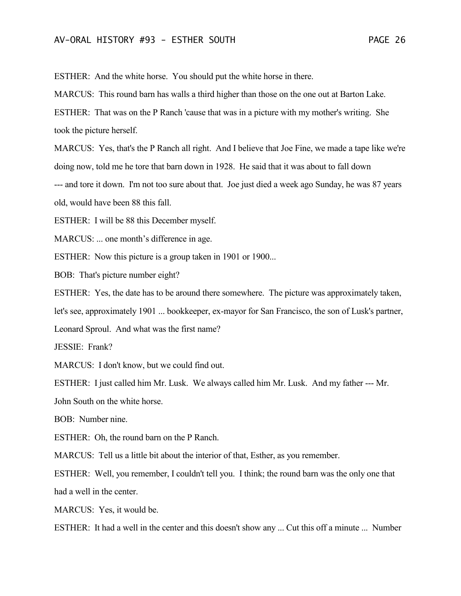ESTHER: And the white horse. You should put the white horse in there.

MARCUS: This round barn has walls a third higher than those on the one out at Barton Lake.

ESTHER: That was on the P Ranch 'cause that was in a picture with my mother's writing. She took the picture herself.

MARCUS: Yes, that's the P Ranch all right. And I believe that Joe Fine, we made a tape like we're doing now, told me he tore that barn down in 1928. He said that it was about to fall down --- and tore it down. I'm not too sure about that. Joe just died a week ago Sunday, he was 87 years old, would have been 88 this fall.

ESTHER: I will be 88 this December myself.

MARCUS: ... one month's difference in age.

ESTHER: Now this picture is a group taken in 1901 or 1900...

BOB: That's picture number eight?

ESTHER: Yes, the date has to be around there somewhere. The picture was approximately taken, let's see, approximately 1901 ... bookkeeper, ex-mayor for San Francisco, the son of Lusk's partner,

Leonard Sproul. And what was the first name?

JESSIE: Frank?

MARCUS: I don't know, but we could find out.

ESTHER: I just called him Mr. Lusk. We always called him Mr. Lusk. And my father --- Mr.

John South on the white horse.

BOB: Number nine.

ESTHER: Oh, the round barn on the P Ranch.

MARCUS: Tell us a little bit about the interior of that, Esther, as you remember.

ESTHER: Well, you remember, I couldn't tell you. I think; the round barn was the only one that had a well in the center.

MARCUS: Yes, it would be.

ESTHER: It had a well in the center and this doesn't show any ... Cut this off a minute ... Number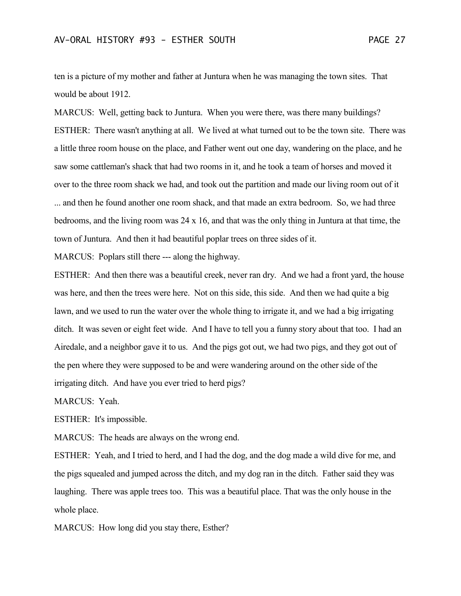ten is a picture of my mother and father at Juntura when he was managing the town sites. That would be about 1912.

MARCUS: Well, getting back to Juntura. When you were there, was there many buildings? ESTHER: There wasn't anything at all. We lived at what turned out to be the town site. There was a little three room house on the place, and Father went out one day, wandering on the place, and he saw some cattleman's shack that had two rooms in it, and he took a team of horses and moved it over to the three room shack we had, and took out the partition and made our living room out of it ... and then he found another one room shack, and that made an extra bedroom. So, we had three bedrooms, and the living room was 24 x 16, and that was the only thing in Juntura at that time, the town of Juntura. And then it had beautiful poplar trees on three sides of it.

MARCUS: Poplars still there --- along the highway.

ESTHER: And then there was a beautiful creek, never ran dry. And we had a front yard, the house was here, and then the trees were here. Not on this side, this side. And then we had quite a big lawn, and we used to run the water over the whole thing to irrigate it, and we had a big irrigating ditch. It was seven or eight feet wide. And I have to tell you a funny story about that too. I had an Airedale, and a neighbor gave it to us. And the pigs got out, we had two pigs, and they got out of the pen where they were supposed to be and were wandering around on the other side of the irrigating ditch. And have you ever tried to herd pigs?

MARCUS: Yeah.

ESTHER: It's impossible.

MARCUS: The heads are always on the wrong end.

ESTHER: Yeah, and I tried to herd, and I had the dog, and the dog made a wild dive for me, and the pigs squealed and jumped across the ditch, and my dog ran in the ditch. Father said they was laughing. There was apple trees too. This was a beautiful place. That was the only house in the whole place.

MARCUS: How long did you stay there, Esther?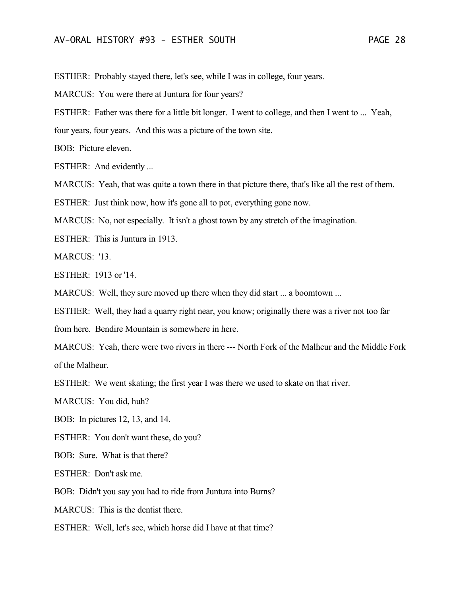ESTHER: Probably stayed there, let's see, while I was in college, four years.

MARCUS: You were there at Juntura for four years?

ESTHER: Father was there for a little bit longer. I went to college, and then I went to ... Yeah,

four years, four years. And this was a picture of the town site.

BOB: Picture eleven.

ESTHER: And evidently ...

MARCUS: Yeah, that was quite a town there in that picture there, that's like all the rest of them.

ESTHER: Just think now, how it's gone all to pot, everything gone now.

MARCUS: No, not especially. It isn't a ghost town by any stretch of the imagination.

ESTHER: This is Juntura in 1913.

MARCUS: '13.

ESTHER: 1913 or '14.

MARCUS: Well, they sure moved up there when they did start ... a boomtown ...

ESTHER: Well, they had a quarry right near, you know; originally there was a river not too far

from here. Bendire Mountain is somewhere in here.

MARCUS: Yeah, there were two rivers in there --- North Fork of the Malheur and the Middle Fork of the Malheur.

ESTHER: We went skating; the first year I was there we used to skate on that river.

MARCUS: You did, huh?

BOB: In pictures 12, 13, and 14.

ESTHER: You don't want these, do you?

BOB: Sure. What is that there?

ESTHER: Don't ask me.

BOB: Didn't you say you had to ride from Juntura into Burns?

MARCUS: This is the dentist there.

ESTHER: Well, let's see, which horse did I have at that time?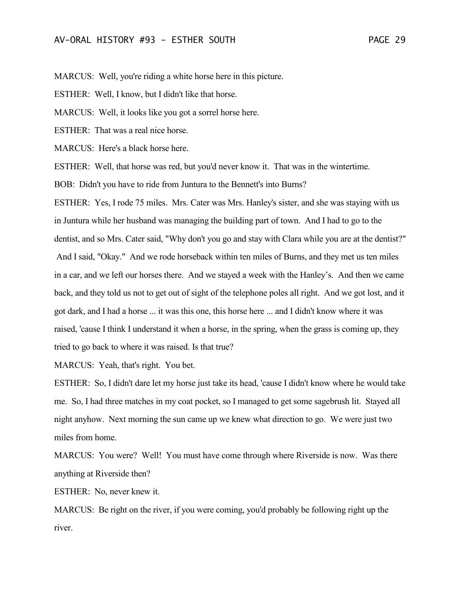MARCUS: Well, you're riding a white horse here in this picture.

ESTHER: Well, I know, but I didn't like that horse.

MARCUS: Well, it looks like you got a sorrel horse here.

ESTHER: That was a real nice horse.

MARCUS: Here's a black horse here.

ESTHER: Well, that horse was red, but you'd never know it. That was in the wintertime.

BOB: Didn't you have to ride from Juntura to the Bennett's into Burns?

ESTHER: Yes, I rode 75 miles. Mrs. Cater was Mrs. Hanley's sister, and she was staying with us in Juntura while her husband was managing the building part of town. And I had to go to the dentist, and so Mrs. Cater said, "Why don't you go and stay with Clara while you are at the dentist?" And I said, "Okay." And we rode horseback within ten miles of Burns, and they met us ten miles in a car, and we left our horses there. And we stayed a week with the Hanley's. And then we came back, and they told us not to get out of sight of the telephone poles all right. And we got lost, and it got dark, and I had a horse ... it was this one, this horse here ... and I didn't know where it was raised, 'cause I think I understand it when a horse, in the spring, when the grass is coming up, they tried to go back to where it was raised. Is that true?

MARCUS: Yeah, that's right. You bet.

ESTHER: So, I didn't dare let my horse just take its head, 'cause I didn't know where he would take me. So, I had three matches in my coat pocket, so I managed to get some sagebrush lit. Stayed all night anyhow. Next morning the sun came up we knew what direction to go. We were just two miles from home.

MARCUS: You were? Well! You must have come through where Riverside is now. Was there anything at Riverside then?

ESTHER: No, never knew it.

MARCUS: Be right on the river, if you were coming, you'd probably be following right up the river.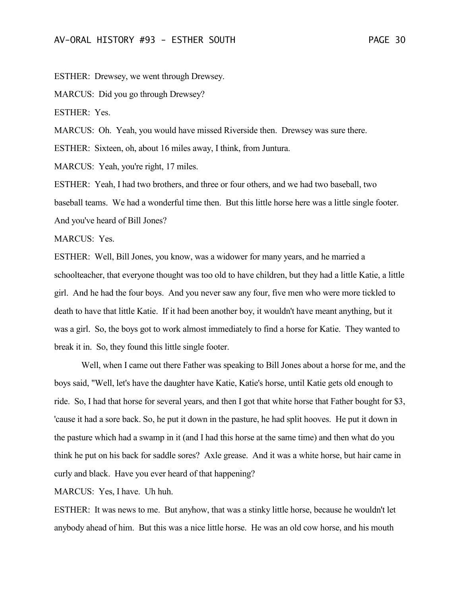ESTHER: Drewsey, we went through Drewsey.

MARCUS: Did you go through Drewsey?

ESTHER: Yes.

MARCUS: Oh. Yeah, you would have missed Riverside then. Drewsey was sure there.

ESTHER: Sixteen, oh, about 16 miles away, I think, from Juntura.

MARCUS: Yeah, you're right, 17 miles.

ESTHER: Yeah, I had two brothers, and three or four others, and we had two baseball, two baseball teams. We had a wonderful time then. But this little horse here was a little single footer. And you've heard of Bill Jones?

MARCUS: Yes.

ESTHER: Well, Bill Jones, you know, was a widower for many years, and he married a schoolteacher, that everyone thought was too old to have children, but they had a little Katie, a little girl. And he had the four boys. And you never saw any four, five men who were more tickled to death to have that little Katie. If it had been another boy, it wouldn't have meant anything, but it was a girl. So, the boys got to work almost immediately to find a horse for Katie. They wanted to break it in. So, they found this little single footer.

Well, when I came out there Father was speaking to Bill Jones about a horse for me, and the boys said, "Well, let's have the daughter have Katie, Katie's horse, until Katie gets old enough to ride. So, I had that horse for several years, and then I got that white horse that Father bought for \$3, 'cause it had a sore back. So, he put it down in the pasture, he had split hooves. He put it down in the pasture which had a swamp in it (and I had this horse at the same time) and then what do you think he put on his back for saddle sores? Axle grease. And it was a white horse, but hair came in curly and black. Have you ever heard of that happening?

MARCUS: Yes, I have. Uh huh.

ESTHER: It was news to me. But anyhow, that was a stinky little horse, because he wouldn't let anybody ahead of him. But this was a nice little horse. He was an old cow horse, and his mouth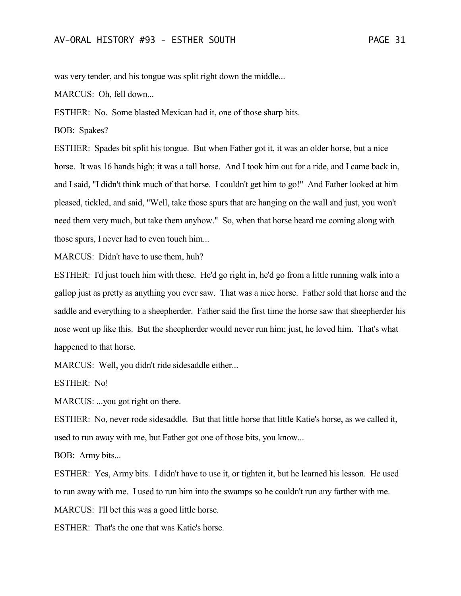was very tender, and his tongue was split right down the middle...

MARCUS: Oh, fell down...

ESTHER: No. Some blasted Mexican had it, one of those sharp bits.

BOB: Spakes?

ESTHER: Spades bit split his tongue. But when Father got it, it was an older horse, but a nice horse. It was 16 hands high; it was a tall horse. And I took him out for a ride, and I came back in, and I said, "I didn't think much of that horse. I couldn't get him to go!" And Father looked at him pleased, tickled, and said, "Well, take those spurs that are hanging on the wall and just, you won't need them very much, but take them anyhow." So, when that horse heard me coming along with those spurs, I never had to even touch him...

MARCUS: Didn't have to use them, huh?

ESTHER: I'd just touch him with these. He'd go right in, he'd go from a little running walk into a gallop just as pretty as anything you ever saw. That was a nice horse. Father sold that horse and the saddle and everything to a sheepherder. Father said the first time the horse saw that sheepherder his nose went up like this. But the sheepherder would never run him; just, he loved him. That's what happened to that horse.

MARCUS: Well, you didn't ride sidesaddle either...

ESTHER: No!

MARCUS: ...you got right on there.

ESTHER: No, never rode sidesaddle. But that little horse that little Katie's horse, as we called it, used to run away with me, but Father got one of those bits, you know...

BOB: Army bits...

ESTHER: Yes, Army bits. I didn't have to use it, or tighten it, but he learned his lesson. He used to run away with me. I used to run him into the swamps so he couldn't run any farther with me. MARCUS: I'll bet this was a good little horse.

ESTHER: That's the one that was Katie's horse.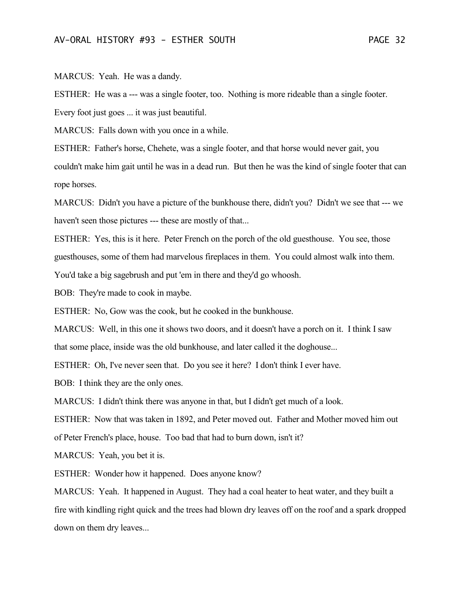MARCUS: Yeah. He was a dandy.

ESTHER: He was a --- was a single footer, too. Nothing is more rideable than a single footer.

Every foot just goes ... it was just beautiful.

MARCUS: Falls down with you once in a while.

ESTHER: Father's horse, Chehete, was a single footer, and that horse would never gait, you couldn't make him gait until he was in a dead run. But then he was the kind of single footer that can rope horses.

MARCUS: Didn't you have a picture of the bunkhouse there, didn't you? Didn't we see that --- we haven't seen those pictures --- these are mostly of that...

ESTHER: Yes, this is it here. Peter French on the porch of the old guesthouse. You see, those guesthouses, some of them had marvelous fireplaces in them. You could almost walk into them.

You'd take a big sagebrush and put 'em in there and they'd go whoosh.

BOB: They're made to cook in maybe.

ESTHER: No, Gow was the cook, but he cooked in the bunkhouse.

MARCUS: Well, in this one it shows two doors, and it doesn't have a porch on it. I think I saw that some place, inside was the old bunkhouse, and later called it the doghouse...

ESTHER: Oh, I've never seen that. Do you see it here? I don't think I ever have.

BOB: I think they are the only ones.

MARCUS: I didn't think there was anyone in that, but I didn't get much of a look.

ESTHER: Now that was taken in 1892, and Peter moved out. Father and Mother moved him out

of Peter French's place, house. Too bad that had to burn down, isn't it?

MARCUS: Yeah, you bet it is.

ESTHER: Wonder how it happened. Does anyone know?

MARCUS: Yeah. It happened in August. They had a coal heater to heat water, and they built a fire with kindling right quick and the trees had blown dry leaves off on the roof and a spark dropped down on them dry leaves...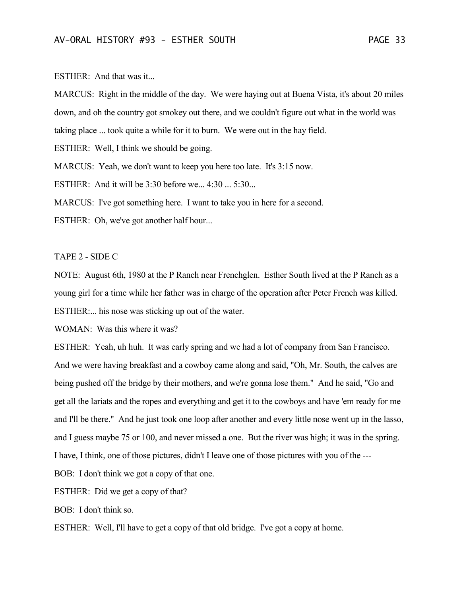## ESTHER: And that was it...

MARCUS: Right in the middle of the day. We were haying out at Buena Vista, it's about 20 miles down, and oh the country got smokey out there, and we couldn't figure out what in the world was taking place ... took quite a while for it to burn. We were out in the hay field.

ESTHER: Well, I think we should be going.

MARCUS: Yeah, we don't want to keep you here too late. It's 3:15 now.

ESTHER: And it will be 3:30 before we... 4:30 ... 5:30...

MARCUS: I've got something here. I want to take you in here for a second.

ESTHER: Oh, we've got another half hour...

## TAPE 2 - SIDE C

NOTE: August 6th, 1980 at the P Ranch near Frenchglen. Esther South lived at the P Ranch as a young girl for a time while her father was in charge of the operation after Peter French was killed. ESTHER:... his nose was sticking up out of the water.

WOMAN: Was this where it was?

ESTHER: Yeah, uh huh. It was early spring and we had a lot of company from San Francisco. And we were having breakfast and a cowboy came along and said, "Oh, Mr. South, the calves are being pushed off the bridge by their mothers, and we're gonna lose them." And he said, "Go and get all the lariats and the ropes and everything and get it to the cowboys and have 'em ready for me and I'll be there." And he just took one loop after another and every little nose went up in the lasso, and I guess maybe 75 or 100, and never missed a one. But the river was high; it was in the spring. I have, I think, one of those pictures, didn't I leave one of those pictures with you of the ---

BOB: I don't think we got a copy of that one.

ESTHER: Did we get a copy of that?

BOB: I don't think so.

ESTHER: Well, I'll have to get a copy of that old bridge. I've got a copy at home.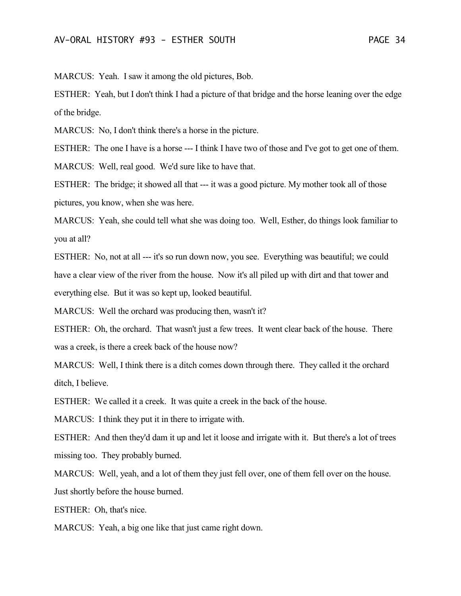MARCUS: Yeah. I saw it among the old pictures, Bob.

ESTHER: Yeah, but I don't think I had a picture of that bridge and the horse leaning over the edge of the bridge.

MARCUS: No, I don't think there's a horse in the picture.

ESTHER: The one I have is a horse --- I think I have two of those and I've got to get one of them.

MARCUS: Well, real good. We'd sure like to have that.

ESTHER: The bridge; it showed all that --- it was a good picture. My mother took all of those pictures, you know, when she was here.

MARCUS: Yeah, she could tell what she was doing too. Well, Esther, do things look familiar to you at all?

ESTHER: No, not at all --- it's so run down now, you see. Everything was beautiful; we could have a clear view of the river from the house. Now it's all piled up with dirt and that tower and everything else. But it was so kept up, looked beautiful.

MARCUS: Well the orchard was producing then, wasn't it?

ESTHER: Oh, the orchard. That wasn't just a few trees. It went clear back of the house. There was a creek, is there a creek back of the house now?

MARCUS: Well, I think there is a ditch comes down through there. They called it the orchard ditch, I believe.

ESTHER: We called it a creek. It was quite a creek in the back of the house.

MARCUS: I think they put it in there to irrigate with.

ESTHER: And then they'd dam it up and let it loose and irrigate with it. But there's a lot of trees missing too. They probably burned.

MARCUS: Well, yeah, and a lot of them they just fell over, one of them fell over on the house. Just shortly before the house burned.

ESTHER: Oh, that's nice.

MARCUS: Yeah, a big one like that just came right down.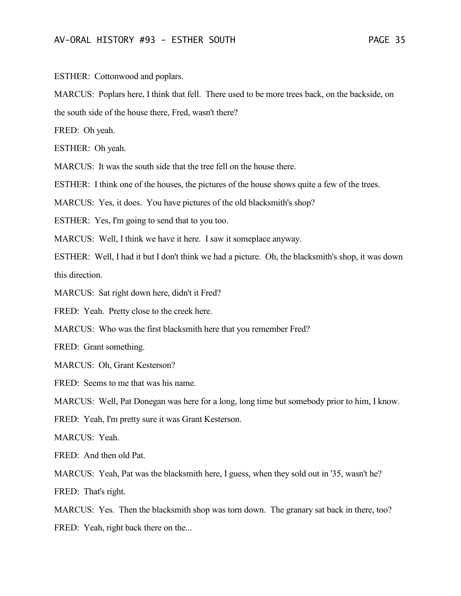ESTHER: Cottonwood and poplars.

MARCUS: Poplars here, I think that fell. There used to be more trees back, on the backside, on the south side of the house there, Fred, wasn't there?

FRED: Oh yeah.

ESTHER: Oh yeah.

MARCUS: It was the south side that the tree fell on the house there.

ESTHER: I think one of the houses, the pictures of the house shows quite a few of the trees.

MARCUS: Yes, it does. You have pictures of the old blacksmith's shop?

ESTHER: Yes, I'm going to send that to you too.

MARCUS: Well, I think we have it here. I saw it someplace anyway.

ESTHER: Well, I had it but I don't think we had a picture. Oh, the blacksmith's shop, it was down this direction.

MARCUS: Sat right down here, didn't it Fred?

FRED: Yeah. Pretty close to the creek here.

MARCUS: Who was the first blacksmith here that you remember Fred?

FRED: Grant something.

MARCUS: Oh, Grant Kesterson?

FRED: Seems to me that was his name.

MARCUS: Well, Pat Donegan was here for a long, long time but somebody prior to him, I know.

FRED: Yeah, I'm pretty sure it was Grant Kesterson.

MARCUS: Yeah.

FRED: And then old Pat.

MARCUS: Yeah, Pat was the blacksmith here, I guess, when they sold out in '35, wasn't he? FRED: That's right.

MARCUS: Yes. Then the blacksmith shop was torn down. The granary sat back in there, too? FRED: Yeah, right back there on the...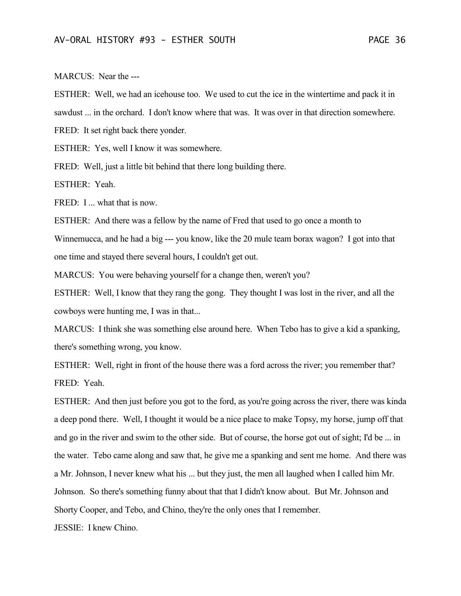MARCUS: Near the ---

ESTHER: Well, we had an icehouse too. We used to cut the ice in the wintertime and pack it in sawdust ... in the orchard. I don't know where that was. It was over in that direction somewhere. FRED: It set right back there yonder.

ESTHER: Yes, well I know it was somewhere.

FRED: Well, just a little bit behind that there long building there.

ESTHER: Yeah.

FRED: I ... what that is now.

ESTHER: And there was a fellow by the name of Fred that used to go once a month to

Winnemucca, and he had a big --- you know, like the 20 mule team borax wagon? I got into that one time and stayed there several hours, I couldn't get out.

MARCUS: You were behaving yourself for a change then, weren't you?

ESTHER: Well, I know that they rang the gong. They thought I was lost in the river, and all the cowboys were hunting me, I was in that...

MARCUS: I think she was something else around here. When Tebo has to give a kid a spanking, there's something wrong, you know.

ESTHER: Well, right in front of the house there was a ford across the river; you remember that? FRED: Yeah.

ESTHER: And then just before you got to the ford, as you're going across the river, there was kinda a deep pond there. Well, I thought it would be a nice place to make Topsy, my horse, jump off that and go in the river and swim to the other side. But of course, the horse got out of sight; I'd be ... in the water. Tebo came along and saw that, he give me a spanking and sent me home. And there was a Mr. Johnson, I never knew what his ... but they just, the men all laughed when I called him Mr. Johnson. So there's something funny about that that I didn't know about. But Mr. Johnson and Shorty Cooper, and Tebo, and Chino, they're the only ones that I remember.

JESSIE: I knew Chino.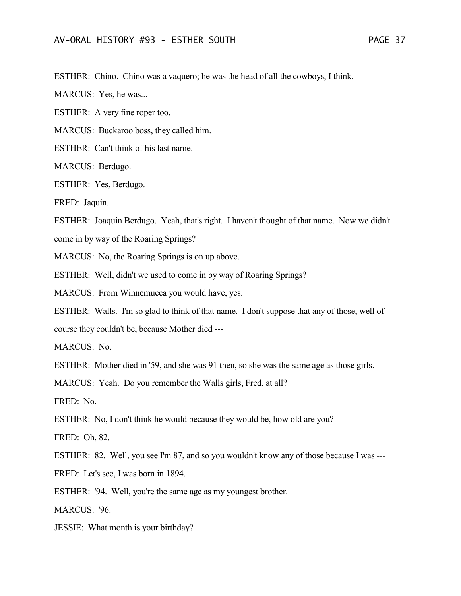ESTHER: Chino. Chino was a vaquero; he was the head of all the cowboys, I think.

MARCUS: Yes, he was...

ESTHER: A very fine roper too.

MARCUS: Buckaroo boss, they called him.

ESTHER: Can't think of his last name.

MARCUS: Berdugo.

ESTHER: Yes, Berdugo.

FRED: Jaquin.

ESTHER: Joaquin Berdugo. Yeah, that's right. I haven't thought of that name. Now we didn't

come in by way of the Roaring Springs?

MARCUS: No, the Roaring Springs is on up above.

ESTHER: Well, didn't we used to come in by way of Roaring Springs?

MARCUS: From Winnemucca you would have, yes.

ESTHER: Walls. I'm so glad to think of that name. I don't suppose that any of those, well of course they couldn't be, because Mother died ---

MARCUS: No.

ESTHER: Mother died in '59, and she was 91 then, so she was the same age as those girls.

MARCUS: Yeah. Do you remember the Walls girls, Fred, at all?

FRED: No.

ESTHER: No, I don't think he would because they would be, how old are you?

FRED: Oh, 82.

ESTHER: 82. Well, you see I'm 87, and so you wouldn't know any of those because I was ---

FRED: Let's see, I was born in 1894.

ESTHER: '94. Well, you're the same age as my youngest brother.

MARCUS: '96.

JESSIE: What month is your birthday?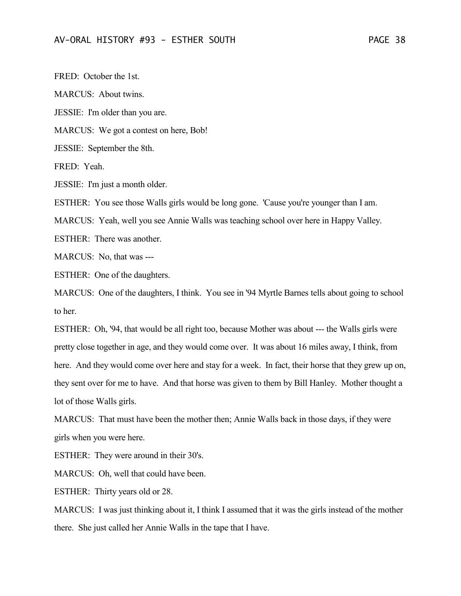FRED: October the 1st. MARCUS: About twins. JESSIE: I'm older than you are. MARCUS: We got a contest on here, Bob! JESSIE: September the 8th. FRED: Yeah. JESSIE: I'm just a month older. ESTHER: You see those Walls girls would be long gone. 'Cause you're younger than I am. MARCUS: Yeah, well you see Annie Walls was teaching school over here in Happy Valley. ESTHER: There was another. MARCUS: No, that was --- ESTHER: One of the daughters.

MARCUS: One of the daughters, I think. You see in '94 Myrtle Barnes tells about going to school to her.

ESTHER: Oh, '94, that would be all right too, because Mother was about --- the Walls girls were pretty close together in age, and they would come over. It was about 16 miles away, I think, from here. And they would come over here and stay for a week. In fact, their horse that they grew up on, they sent over for me to have. And that horse was given to them by Bill Hanley. Mother thought a lot of those Walls girls.

MARCUS: That must have been the mother then; Annie Walls back in those days, if they were girls when you were here.

ESTHER: They were around in their 30's.

MARCUS: Oh, well that could have been.

ESTHER: Thirty years old or 28.

MARCUS: I was just thinking about it, I think I assumed that it was the girls instead of the mother there. She just called her Annie Walls in the tape that I have.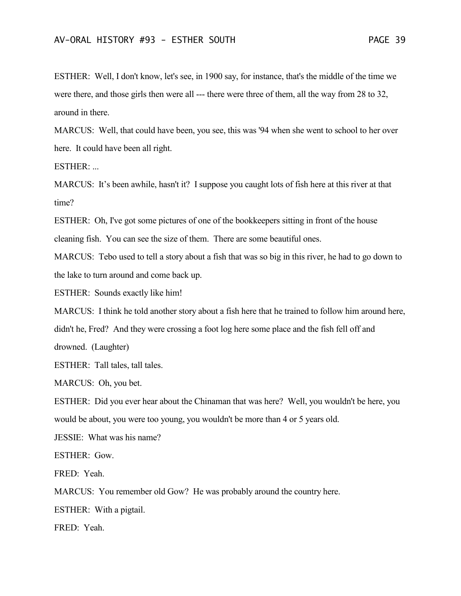ESTHER: Well, I don't know, let's see, in 1900 say, for instance, that's the middle of the time we were there, and those girls then were all --- there were three of them, all the way from 28 to 32, around in there.

MARCUS: Well, that could have been, you see, this was '94 when she went to school to her over here. It could have been all right.

ESTHER: ...

MARCUS: It's been awhile, hasn't it? I suppose you caught lots of fish here at this river at that time?

ESTHER: Oh, I've got some pictures of one of the bookkeepers sitting in front of the house cleaning fish. You can see the size of them. There are some beautiful ones.

MARCUS: Tebo used to tell a story about a fish that was so big in this river, he had to go down to the lake to turn around and come back up.

ESTHER: Sounds exactly like him!

MARCUS: I think he told another story about a fish here that he trained to follow him around here,

didn't he, Fred? And they were crossing a foot log here some place and the fish fell off and

drowned. (Laughter)

ESTHER: Tall tales, tall tales.

MARCUS: Oh, you bet.

ESTHER: Did you ever hear about the Chinaman that was here? Well, you wouldn't be here, you would be about, you were too young, you wouldn't be more than 4 or 5 years old.

JESSIE: What was his name?

ESTHER: Gow.

FRED: Yeah.

MARCUS: You remember old Gow? He was probably around the country here.

ESTHER: With a pigtail.

FRED: Yeah.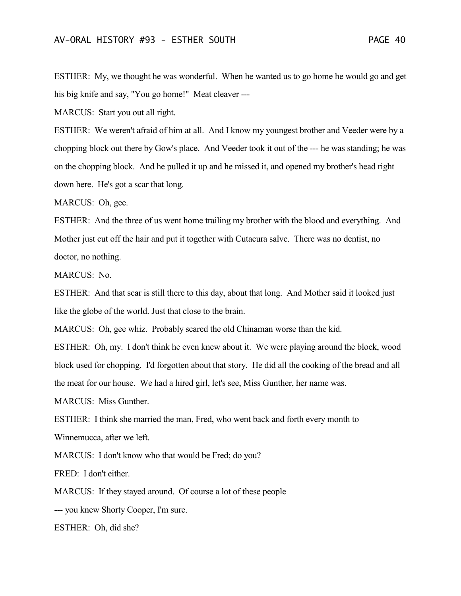ESTHER: My, we thought he was wonderful. When he wanted us to go home he would go and get his big knife and say, "You go home!" Meat cleaver ---

MARCUS: Start you out all right.

ESTHER: We weren't afraid of him at all. And I know my youngest brother and Veeder were by a chopping block out there by Gow's place. And Veeder took it out of the --- he was standing; he was on the chopping block. And he pulled it up and he missed it, and opened my brother's head right down here. He's got a scar that long.

MARCUS: Oh, gee.

ESTHER: And the three of us went home trailing my brother with the blood and everything. And Mother just cut off the hair and put it together with Cutacura salve. There was no dentist, no doctor, no nothing.

MARCUS: No.

ESTHER: And that scar is still there to this day, about that long. And Mother said it looked just like the globe of the world. Just that close to the brain.

MARCUS: Oh, gee whiz. Probably scared the old Chinaman worse than the kid.

ESTHER: Oh, my. I don't think he even knew about it. We were playing around the block, wood block used for chopping. I'd forgotten about that story. He did all the cooking of the bread and all the meat for our house. We had a hired girl, let's see, Miss Gunther, her name was.

MARCUS: Miss Gunther.

ESTHER: I think she married the man, Fred, who went back and forth every month to Winnemucca, after we left.

MARCUS: I don't know who that would be Fred; do you?

FRED: I don't either.

MARCUS: If they stayed around. Of course a lot of these people

--- you knew Shorty Cooper, I'm sure.

ESTHER: Oh, did she?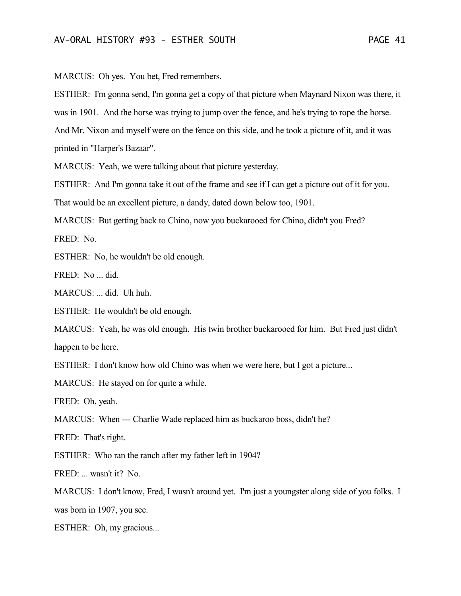MARCUS: Oh yes. You bet, Fred remembers.

ESTHER: I'm gonna send, I'm gonna get a copy of that picture when Maynard Nixon was there, it was in 1901. And the horse was trying to jump over the fence, and he's trying to rope the horse. And Mr. Nixon and myself were on the fence on this side, and he took a picture of it, and it was printed in "Harper's Bazaar".

MARCUS: Yeah, we were talking about that picture yesterday.

ESTHER: And I'm gonna take it out of the frame and see if I can get a picture out of it for you.

That would be an excellent picture, a dandy, dated down below too, 1901.

MARCUS: But getting back to Chino, now you buckarooed for Chino, didn't you Fred?

FRED: No.

ESTHER: No, he wouldn't be old enough.

FRED: No ... did.

MARCUS: ... did. Uh huh.

ESTHER: He wouldn't be old enough.

MARCUS: Yeah, he was old enough. His twin brother buckarooed for him. But Fred just didn't happen to be here.

ESTHER: I don't know how old Chino was when we were here, but I got a picture...

MARCUS: He stayed on for quite a while.

FRED: Oh, yeah.

MARCUS: When --- Charlie Wade replaced him as buckaroo boss, didn't he?

FRED: That's right.

ESTHER: Who ran the ranch after my father left in 1904?

FRED: ... wasn't it? No.

MARCUS: I don't know, Fred, I wasn't around yet. I'm just a youngster along side of you folks. I was born in 1907, you see.

ESTHER: Oh, my gracious...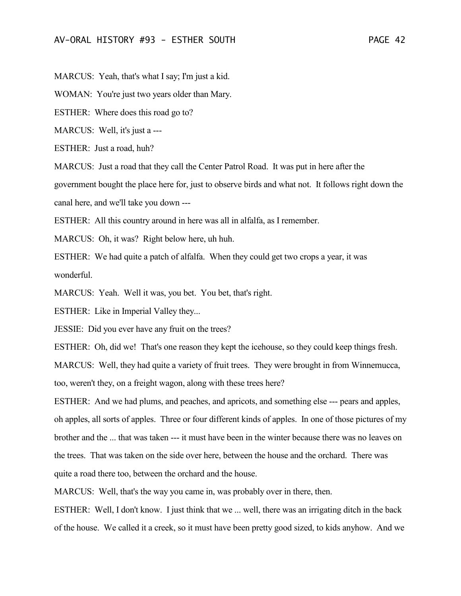MARCUS: Yeah, that's what I say; I'm just a kid.

WOMAN: You're just two years older than Mary.

ESTHER: Where does this road go to?

MARCUS: Well, it's just a ---

ESTHER: Just a road, huh?

MARCUS: Just a road that they call the Center Patrol Road. It was put in here after the

government bought the place here for, just to observe birds and what not. It follows right down the canal here, and we'll take you down ---

ESTHER: All this country around in here was all in alfalfa, as I remember.

MARCUS: Oh, it was? Right below here, uh huh.

ESTHER: We had quite a patch of alfalfa. When they could get two crops a year, it was wonderful.

MARCUS: Yeah. Well it was, you bet. You bet, that's right.

ESTHER: Like in Imperial Valley they...

JESSIE: Did you ever have any fruit on the trees?

ESTHER: Oh, did we! That's one reason they kept the icehouse, so they could keep things fresh.

MARCUS: Well, they had quite a variety of fruit trees. They were brought in from Winnemucca, too, weren't they, on a freight wagon, along with these trees here?

ESTHER: And we had plums, and peaches, and apricots, and something else --- pears and apples, oh apples, all sorts of apples. Three or four different kinds of apples. In one of those pictures of my brother and the ... that was taken --- it must have been in the winter because there was no leaves on the trees. That was taken on the side over here, between the house and the orchard. There was quite a road there too, between the orchard and the house.

MARCUS: Well, that's the way you came in, was probably over in there, then.

ESTHER: Well, I don't know. I just think that we ... well, there was an irrigating ditch in the back of the house. We called it a creek, so it must have been pretty good sized, to kids anyhow. And we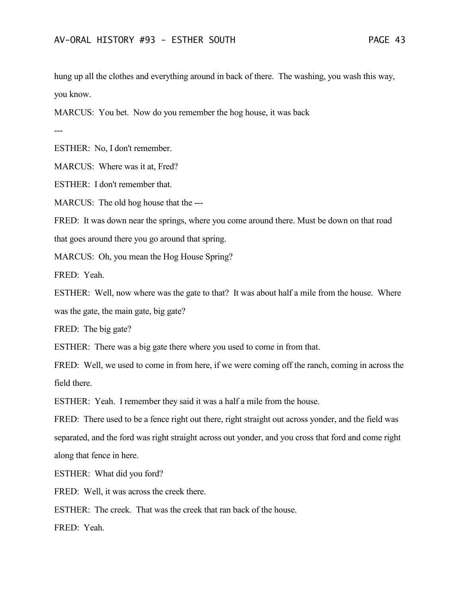hung up all the clothes and everything around in back of there. The washing, you wash this way, you know.

MARCUS: You bet. Now do you remember the hog house, it was back

---

ESTHER: No, I don't remember.

MARCUS: Where was it at, Fred?

ESTHER: I don't remember that.

MARCUS: The old hog house that the ---

FRED: It was down near the springs, where you come around there. Must be down on that road

that goes around there you go around that spring.

MARCUS: Oh, you mean the Hog House Spring?

FRED: Yeah.

ESTHER: Well, now where was the gate to that? It was about half a mile from the house. Where was the gate, the main gate, big gate?

FRED: The big gate?

ESTHER: There was a big gate there where you used to come in from that.

FRED: Well, we used to come in from here, if we were coming off the ranch, coming in across the field there.

ESTHER: Yeah. I remember they said it was a half a mile from the house.

FRED: There used to be a fence right out there, right straight out across yonder, and the field was separated, and the ford was right straight across out yonder, and you cross that ford and come right along that fence in here.

ESTHER: What did you ford?

FRED: Well, it was across the creek there.

ESTHER: The creek. That was the creek that ran back of the house.

FRED: Yeah.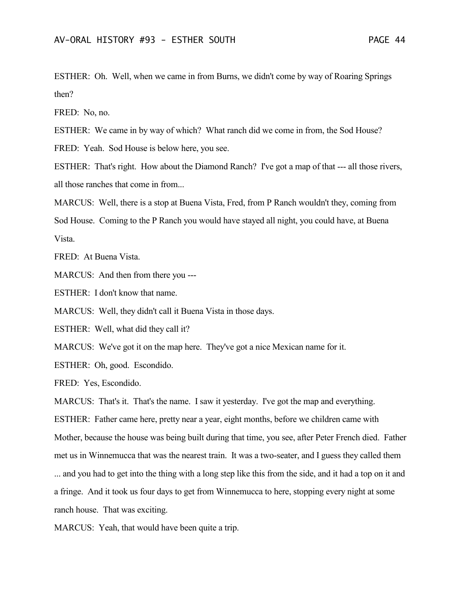ESTHER: Oh. Well, when we came in from Burns, we didn't come by way of Roaring Springs then?

FRED: No, no.

ESTHER: We came in by way of which? What ranch did we come in from, the Sod House?

FRED: Yeah. Sod House is below here, you see.

ESTHER: That's right. How about the Diamond Ranch? I've got a map of that --- all those rivers, all those ranches that come in from...

MARCUS: Well, there is a stop at Buena Vista, Fred, from P Ranch wouldn't they, coming from Sod House. Coming to the P Ranch you would have stayed all night, you could have, at Buena Vista.

FRED: At Buena Vista.

MARCUS: And then from there you ---

ESTHER: I don't know that name.

MARCUS: Well, they didn't call it Buena Vista in those days.

ESTHER: Well, what did they call it?

MARCUS: We've got it on the map here. They've got a nice Mexican name for it.

ESTHER: Oh, good. Escondido.

FRED: Yes, Escondido.

MARCUS: That's it. That's the name. I saw it yesterday. I've got the map and everything. ESTHER: Father came here, pretty near a year, eight months, before we children came with Mother, because the house was being built during that time, you see, after Peter French died. Father met us in Winnemucca that was the nearest train. It was a two-seater, and I guess they called them ... and you had to get into the thing with a long step like this from the side, and it had a top on it and a fringe. And it took us four days to get from Winnemucca to here, stopping every night at some ranch house. That was exciting.

MARCUS: Yeah, that would have been quite a trip.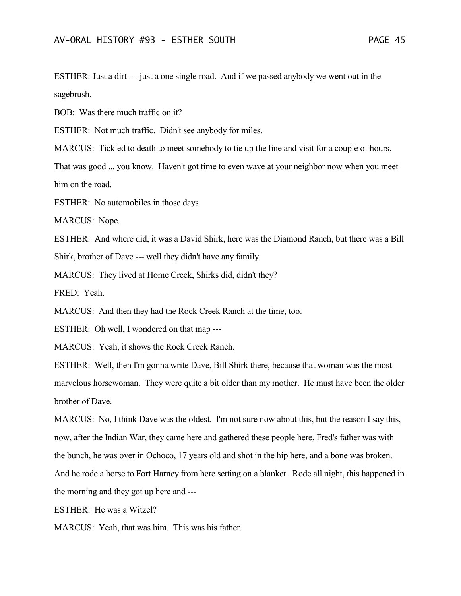ESTHER: Just a dirt --- just a one single road. And if we passed anybody we went out in the sagebrush.

BOB: Was there much traffic on it?

ESTHER: Not much traffic. Didn't see anybody for miles.

MARCUS: Tickled to death to meet somebody to tie up the line and visit for a couple of hours.

That was good ... you know. Haven't got time to even wave at your neighbor now when you meet him on the road.

ESTHER: No automobiles in those days.

MARCUS: Nope.

ESTHER: And where did, it was a David Shirk, here was the Diamond Ranch, but there was a Bill Shirk, brother of Dave --- well they didn't have any family.

MARCUS: They lived at Home Creek, Shirks did, didn't they?

FRED: Yeah.

MARCUS: And then they had the Rock Creek Ranch at the time, too.

ESTHER: Oh well, I wondered on that map ---

MARCUS: Yeah, it shows the Rock Creek Ranch.

ESTHER: Well, then I'm gonna write Dave, Bill Shirk there, because that woman was the most marvelous horsewoman. They were quite a bit older than my mother. He must have been the older brother of Dave.

MARCUS: No, I think Dave was the oldest. I'm not sure now about this, but the reason I say this, now, after the Indian War, they came here and gathered these people here, Fred's father was with the bunch, he was over in Ochoco, 17 years old and shot in the hip here, and a bone was broken. And he rode a horse to Fort Harney from here setting on a blanket. Rode all night, this happened in the morning and they got up here and ---

ESTHER: He was a Witzel?

MARCUS: Yeah, that was him. This was his father.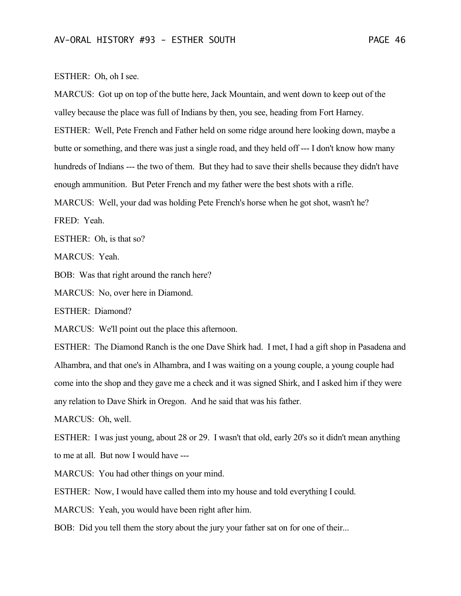ESTHER: Oh, oh I see.

MARCUS: Got up on top of the butte here, Jack Mountain, and went down to keep out of the valley because the place was full of Indians by then, you see, heading from Fort Harney. ESTHER: Well, Pete French and Father held on some ridge around here looking down, maybe a butte or something, and there was just a single road, and they held off --- I don't know how many hundreds of Indians --- the two of them. But they had to save their shells because they didn't have enough ammunition. But Peter French and my father were the best shots with a rifle. MARCUS: Well, your dad was holding Pete French's horse when he got shot, wasn't he?

FRED: Yeah.

ESTHER: Oh, is that so?

MARCUS: Yeah.

BOB: Was that right around the ranch here?

MARCUS: No, over here in Diamond.

ESTHER: Diamond?

MARCUS: We'll point out the place this afternoon.

ESTHER: The Diamond Ranch is the one Dave Shirk had. I met, I had a gift shop in Pasadena and Alhambra, and that one's in Alhambra, and I was waiting on a young couple, a young couple had come into the shop and they gave me a check and it was signed Shirk, and I asked him if they were any relation to Dave Shirk in Oregon. And he said that was his father.

MARCUS: Oh, well.

ESTHER: I was just young, about 28 or 29. I wasn't that old, early 20's so it didn't mean anything to me at all. But now I would have ---

MARCUS: You had other things on your mind.

ESTHER: Now, I would have called them into my house and told everything I could.

MARCUS: Yeah, you would have been right after him.

BOB: Did you tell them the story about the jury your father sat on for one of their...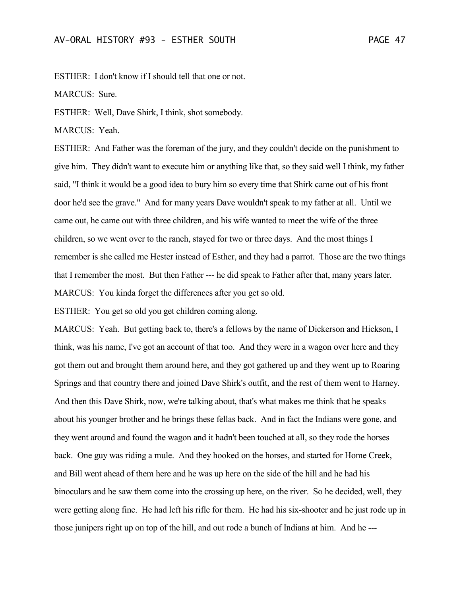ESTHER: I don't know if I should tell that one or not.

MARCUS: Sure.

ESTHER: Well, Dave Shirk, I think, shot somebody.

MARCUS: Yeah.

ESTHER: And Father was the foreman of the jury, and they couldn't decide on the punishment to give him. They didn't want to execute him or anything like that, so they said well I think, my father said, "I think it would be a good idea to bury him so every time that Shirk came out of his front door he'd see the grave." And for many years Dave wouldn't speak to my father at all. Until we came out, he came out with three children, and his wife wanted to meet the wife of the three children, so we went over to the ranch, stayed for two or three days. And the most things I remember is she called me Hester instead of Esther, and they had a parrot. Those are the two things that I remember the most. But then Father --- he did speak to Father after that, many years later. MARCUS: You kinda forget the differences after you get so old.

ESTHER: You get so old you get children coming along.

MARCUS: Yeah. But getting back to, there's a fellows by the name of Dickerson and Hickson, I think, was his name, I've got an account of that too. And they were in a wagon over here and they got them out and brought them around here, and they got gathered up and they went up to Roaring Springs and that country there and joined Dave Shirk's outfit, and the rest of them went to Harney. And then this Dave Shirk, now, we're talking about, that's what makes me think that he speaks about his younger brother and he brings these fellas back. And in fact the Indians were gone, and they went around and found the wagon and it hadn't been touched at all, so they rode the horses back. One guy was riding a mule. And they hooked on the horses, and started for Home Creek, and Bill went ahead of them here and he was up here on the side of the hill and he had his binoculars and he saw them come into the crossing up here, on the river. So he decided, well, they were getting along fine. He had left his rifle for them. He had his six-shooter and he just rode up in those junipers right up on top of the hill, and out rode a bunch of Indians at him. And he ---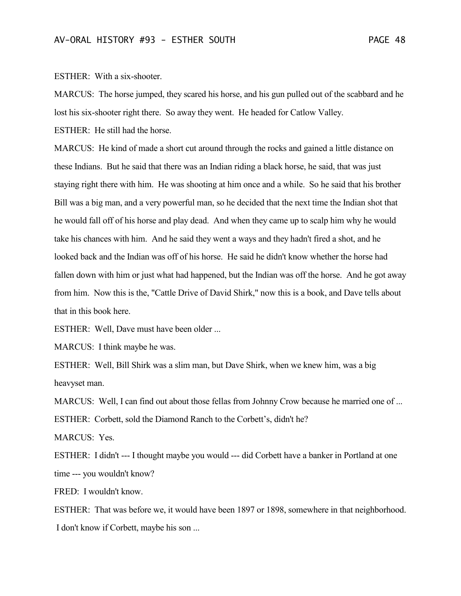ESTHER: With a six-shooter.

MARCUS: The horse jumped, they scared his horse, and his gun pulled out of the scabbard and he lost his six-shooter right there. So away they went. He headed for Catlow Valley.

ESTHER: He still had the horse.

MARCUS: He kind of made a short cut around through the rocks and gained a little distance on these Indians. But he said that there was an Indian riding a black horse, he said, that was just staying right there with him. He was shooting at him once and a while. So he said that his brother Bill was a big man, and a very powerful man, so he decided that the next time the Indian shot that he would fall off of his horse and play dead. And when they came up to scalp him why he would take his chances with him. And he said they went a ways and they hadn't fired a shot, and he looked back and the Indian was off of his horse. He said he didn't know whether the horse had fallen down with him or just what had happened, but the Indian was off the horse. And he got away from him. Now this is the, "Cattle Drive of David Shirk," now this is a book, and Dave tells about that in this book here.

ESTHER: Well, Dave must have been older ...

MARCUS: I think maybe he was.

ESTHER: Well, Bill Shirk was a slim man, but Dave Shirk, when we knew him, was a big heavyset man.

MARCUS: Well, I can find out about those fellas from Johnny Crow because he married one of ... ESTHER: Corbett, sold the Diamond Ranch to the Corbett's, didn't he?

MARCUS: Yes.

ESTHER: I didn't --- I thought maybe you would --- did Corbett have a banker in Portland at one time --- you wouldn't know?

FRED: I wouldn't know.

ESTHER: That was before we, it would have been 1897 or 1898, somewhere in that neighborhood. I don't know if Corbett, maybe his son ...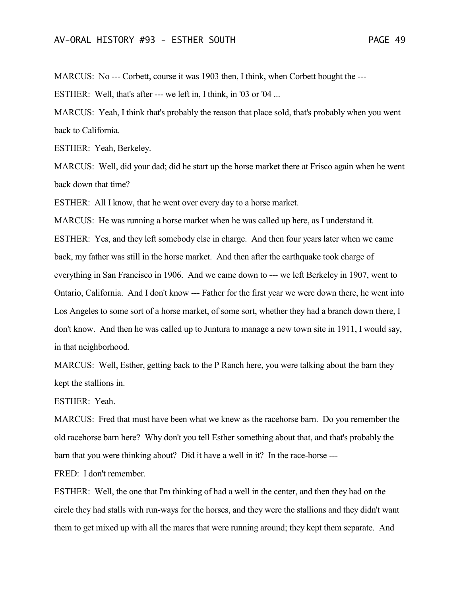MARCUS: No --- Corbett, course it was 1903 then, I think, when Corbett bought the ---

ESTHER: Well, that's after --- we left in, I think, in '03 or '04 ...

MARCUS: Yeah, I think that's probably the reason that place sold, that's probably when you went back to California.

ESTHER: Yeah, Berkeley.

MARCUS: Well, did your dad; did he start up the horse market there at Frisco again when he went back down that time?

ESTHER: All I know, that he went over every day to a horse market.

MARCUS: He was running a horse market when he was called up here, as I understand it. ESTHER: Yes, and they left somebody else in charge. And then four years later when we came back, my father was still in the horse market. And then after the earthquake took charge of everything in San Francisco in 1906. And we came down to --- we left Berkeley in 1907, went to Ontario, California. And I don't know --- Father for the first year we were down there, he went into Los Angeles to some sort of a horse market, of some sort, whether they had a branch down there, I don't know. And then he was called up to Juntura to manage a new town site in 1911, I would say, in that neighborhood.

MARCUS: Well, Esther, getting back to the P Ranch here, you were talking about the barn they kept the stallions in.

ESTHER: Yeah.

MARCUS: Fred that must have been what we knew as the racehorse barn. Do you remember the old racehorse barn here? Why don't you tell Esther something about that, and that's probably the barn that you were thinking about? Did it have a well in it? In the race-horse ---

FRED: I don't remember.

ESTHER: Well, the one that I'm thinking of had a well in the center, and then they had on the circle they had stalls with run-ways for the horses, and they were the stallions and they didn't want them to get mixed up with all the mares that were running around; they kept them separate. And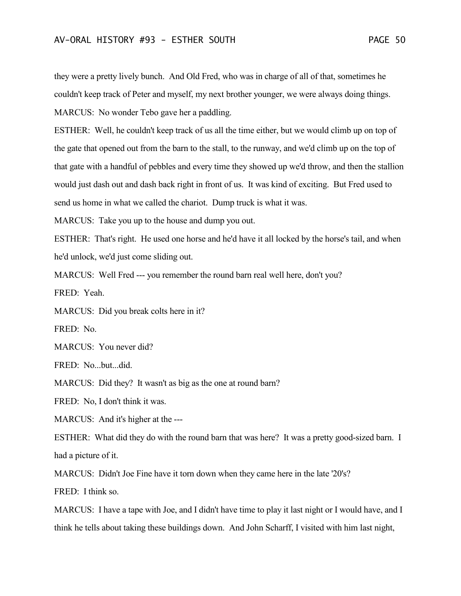they were a pretty lively bunch. And Old Fred, who was in charge of all of that, sometimes he couldn't keep track of Peter and myself, my next brother younger, we were always doing things. MARCUS: No wonder Tebo gave her a paddling.

ESTHER: Well, he couldn't keep track of us all the time either, but we would climb up on top of the gate that opened out from the barn to the stall, to the runway, and we'd climb up on the top of that gate with a handful of pebbles and every time they showed up we'd throw, and then the stallion would just dash out and dash back right in front of us. It was kind of exciting. But Fred used to send us home in what we called the chariot. Dump truck is what it was.

MARCUS: Take you up to the house and dump you out.

ESTHER: That's right. He used one horse and he'd have it all locked by the horse's tail, and when he'd unlock, we'd just come sliding out.

MARCUS: Well Fred --- you remember the round barn real well here, don't you?

FRED: Yeah.

MARCUS: Did you break colts here in it?

FRED: No.

MARCUS: You never did?

FRED: No...but...did.

MARCUS: Did they? It wasn't as big as the one at round barn?

FRED: No, I don't think it was.

MARCUS: And it's higher at the ---

ESTHER: What did they do with the round barn that was here? It was a pretty good-sized barn. I had a picture of it.

MARCUS: Didn't Joe Fine have it torn down when they came here in the late '20's?

FRED: I think so.

MARCUS: I have a tape with Joe, and I didn't have time to play it last night or I would have, and I think he tells about taking these buildings down. And John Scharff, I visited with him last night,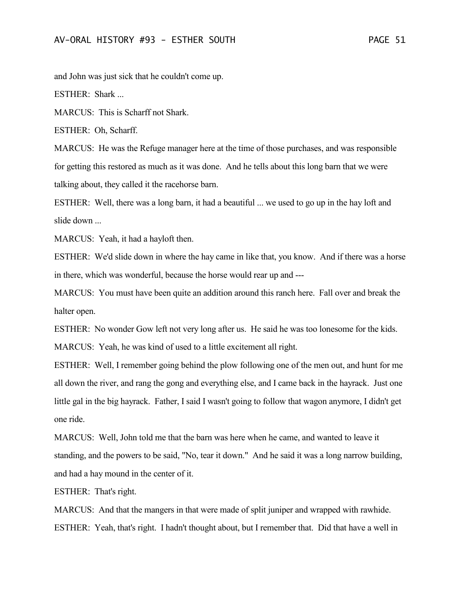and John was just sick that he couldn't come up.

ESTHER: Shark ...

MARCUS: This is Scharff not Shark.

ESTHER: Oh, Scharff.

MARCUS: He was the Refuge manager here at the time of those purchases, and was responsible for getting this restored as much as it was done. And he tells about this long barn that we were talking about, they called it the racehorse barn.

ESTHER: Well, there was a long barn, it had a beautiful ... we used to go up in the hay loft and slide down ...

MARCUS: Yeah, it had a hayloft then.

ESTHER: We'd slide down in where the hay came in like that, you know. And if there was a horse in there, which was wonderful, because the horse would rear up and ---

MARCUS: You must have been quite an addition around this ranch here. Fall over and break the halter open.

ESTHER: No wonder Gow left not very long after us. He said he was too lonesome for the kids.

MARCUS: Yeah, he was kind of used to a little excitement all right.

ESTHER: Well, I remember going behind the plow following one of the men out, and hunt for me all down the river, and rang the gong and everything else, and I came back in the hayrack. Just one little gal in the big hayrack. Father, I said I wasn't going to follow that wagon anymore, I didn't get one ride.

MARCUS: Well, John told me that the barn was here when he came, and wanted to leave it standing, and the powers to be said, "No, tear it down." And he said it was a long narrow building, and had a hay mound in the center of it.

ESTHER: That's right.

MARCUS: And that the mangers in that were made of split juniper and wrapped with rawhide. ESTHER: Yeah, that's right. I hadn't thought about, but I remember that. Did that have a well in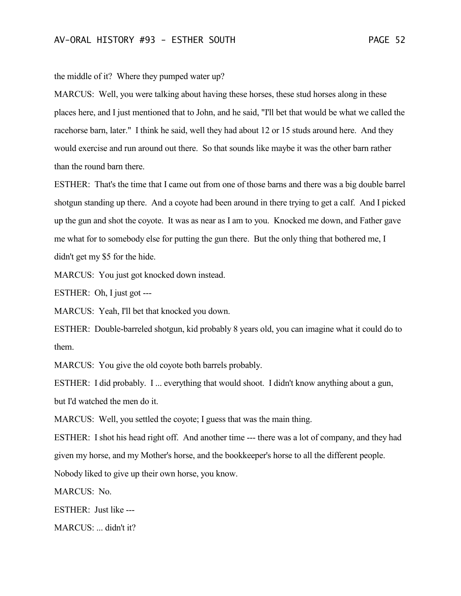the middle of it? Where they pumped water up?

MARCUS: Well, you were talking about having these horses, these stud horses along in these places here, and I just mentioned that to John, and he said, "I'll bet that would be what we called the racehorse barn, later." I think he said, well they had about 12 or 15 studs around here. And they would exercise and run around out there. So that sounds like maybe it was the other barn rather than the round barn there.

ESTHER: That's the time that I came out from one of those barns and there was a big double barrel shotgun standing up there. And a coyote had been around in there trying to get a calf. And I picked up the gun and shot the coyote. It was as near as I am to you. Knocked me down, and Father gave me what for to somebody else for putting the gun there. But the only thing that bothered me, I didn't get my \$5 for the hide.

MARCUS: You just got knocked down instead.

ESTHER: Oh, I just got ---

MARCUS: Yeah, I'll bet that knocked you down.

ESTHER: Double-barreled shotgun, kid probably 8 years old, you can imagine what it could do to them.

MARCUS: You give the old coyote both barrels probably.

ESTHER: I did probably. I ... everything that would shoot. I didn't know anything about a gun, but I'd watched the men do it.

MARCUS: Well, you settled the coyote; I guess that was the main thing.

ESTHER: I shot his head right off. And another time --- there was a lot of company, and they had given my horse, and my Mother's horse, and the bookkeeper's horse to all the different people. Nobody liked to give up their own horse, you know.

MARCUS: No.

ESTHER: Just like ---

MARCUS: ... didn't it?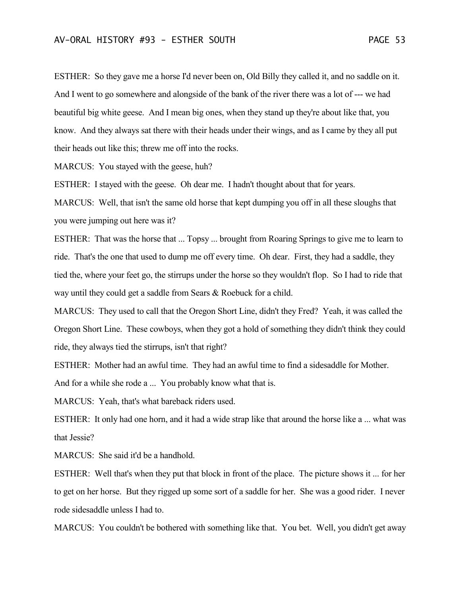ESTHER: So they gave me a horse I'd never been on, Old Billy they called it, and no saddle on it. And I went to go somewhere and alongside of the bank of the river there was a lot of --- we had beautiful big white geese. And I mean big ones, when they stand up they're about like that, you know. And they always sat there with their heads under their wings, and as I came by they all put their heads out like this; threw me off into the rocks.

MARCUS: You stayed with the geese, huh?

ESTHER: I stayed with the geese. Oh dear me. I hadn't thought about that for years.

MARCUS: Well, that isn't the same old horse that kept dumping you off in all these sloughs that you were jumping out here was it?

ESTHER: That was the horse that ... Topsy ... brought from Roaring Springs to give me to learn to ride. That's the one that used to dump me off every time. Oh dear. First, they had a saddle, they tied the, where your feet go, the stirrups under the horse so they wouldn't flop. So I had to ride that way until they could get a saddle from Sears & Roebuck for a child.

MARCUS: They used to call that the Oregon Short Line, didn't they Fred? Yeah, it was called the Oregon Short Line. These cowboys, when they got a hold of something they didn't think they could ride, they always tied the stirrups, isn't that right?

ESTHER: Mother had an awful time. They had an awful time to find a sidesaddle for Mother. And for a while she rode a ... You probably know what that is.

MARCUS: Yeah, that's what bareback riders used.

ESTHER: It only had one horn, and it had a wide strap like that around the horse like a ... what was that Jessie?

MARCUS: She said it'd be a handhold.

ESTHER: Well that's when they put that block in front of the place. The picture shows it ... for her to get on her horse. But they rigged up some sort of a saddle for her. She was a good rider. I never rode sidesaddle unless I had to.

MARCUS: You couldn't be bothered with something like that. You bet. Well, you didn't get away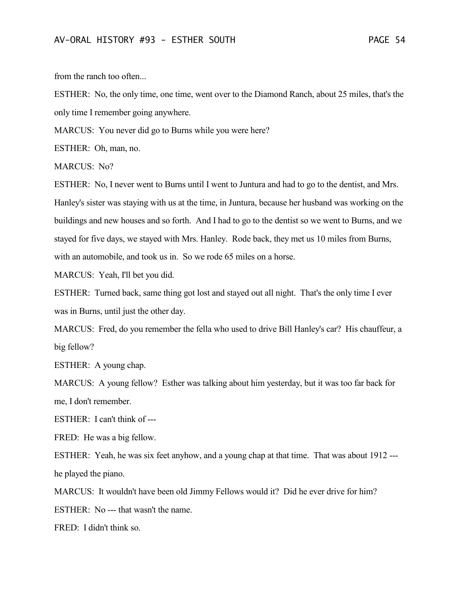from the ranch too often...

ESTHER: No, the only time, one time, went over to the Diamond Ranch, about 25 miles, that's the only time I remember going anywhere.

MARCUS: You never did go to Burns while you were here?

ESTHER: Oh, man, no.

MARCUS: No?

ESTHER: No, I never went to Burns until I went to Juntura and had to go to the dentist, and Mrs. Hanley's sister was staying with us at the time, in Juntura, because her husband was working on the buildings and new houses and so forth. And I had to go to the dentist so we went to Burns, and we stayed for five days, we stayed with Mrs. Hanley. Rode back, they met us 10 miles from Burns, with an automobile, and took us in. So we rode 65 miles on a horse.

MARCUS: Yeah, I'll bet you did.

ESTHER: Turned back, same thing got lost and stayed out all night. That's the only time I ever was in Burns, until just the other day.

MARCUS: Fred, do you remember the fella who used to drive Bill Hanley's car? His chauffeur, a big fellow?

ESTHER: A young chap.

MARCUS: A young fellow? Esther was talking about him yesterday, but it was too far back for me, I don't remember.

ESTHER: I can't think of ---

FRED: He was a big fellow.

ESTHER: Yeah, he was six feet anyhow, and a young chap at that time. That was about 1912 -- he played the piano.

MARCUS: It wouldn't have been old Jimmy Fellows would it? Did he ever drive for him?

ESTHER: No --- that wasn't the name.

FRED: I didn't think so.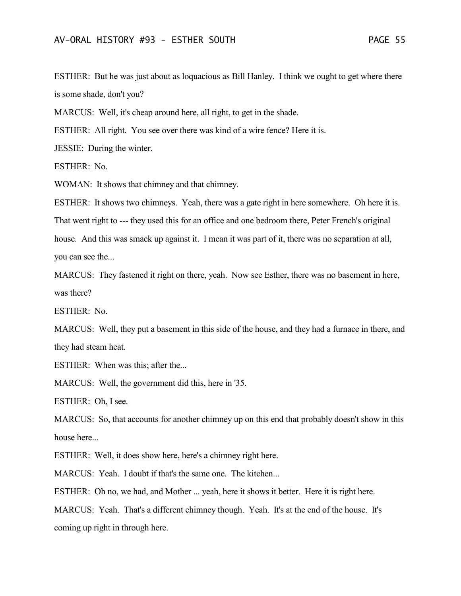ESTHER: But he was just about as loquacious as Bill Hanley. I think we ought to get where there is some shade, don't you?

MARCUS: Well, it's cheap around here, all right, to get in the shade.

ESTHER: All right. You see over there was kind of a wire fence? Here it is.

JESSIE: During the winter.

ESTHER: No.

WOMAN: It shows that chimney and that chimney.

ESTHER: It shows two chimneys. Yeah, there was a gate right in here somewhere. Oh here it is. That went right to --- they used this for an office and one bedroom there, Peter French's original house. And this was smack up against it. I mean it was part of it, there was no separation at all, you can see the...

MARCUS: They fastened it right on there, yeah. Now see Esther, there was no basement in here, was there?

ESTHER: No.

MARCUS: Well, they put a basement in this side of the house, and they had a furnace in there, and they had steam heat.

ESTHER: When was this; after the...

MARCUS: Well, the government did this, here in '35.

ESTHER: Oh, I see.

MARCUS: So, that accounts for another chimney up on this end that probably doesn't show in this house here...

ESTHER: Well, it does show here, here's a chimney right here.

MARCUS: Yeah. I doubt if that's the same one. The kitchen...

ESTHER: Oh no, we had, and Mother ... yeah, here it shows it better. Here it is right here.

MARCUS: Yeah. That's a different chimney though. Yeah. It's at the end of the house. It's coming up right in through here.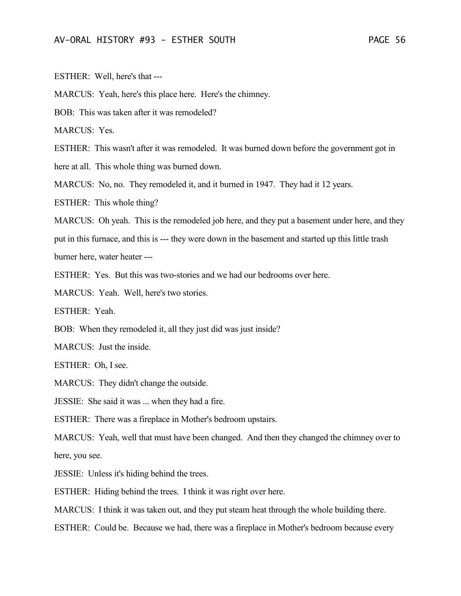ESTHER: Well, here's that ---

MARCUS: Yeah, here's this place here. Here's the chimney.

BOB: This was taken after it was remodeled?

MARCUS: Yes.

ESTHER: This wasn't after it was remodeled. It was burned down before the government got in

here at all. This whole thing was burned down.

MARCUS: No, no. They remodeled it, and it burned in 1947. They had it 12 years.

ESTHER: This whole thing?

MARCUS: Oh yeah. This is the remodeled job here, and they put a basement under here, and they

put in this furnace, and this is --- they were down in the basement and started up this little trash

burner here, water heater ---

ESTHER: Yes. But this was two-stories and we had our bedrooms over here.

MARCUS: Yeah. Well, here's two stories.

ESTHER: Yeah.

BOB: When they remodeled it, all they just did was just inside?

MARCUS: Just the inside.

ESTHER: Oh, I see.

MARCUS: They didn't change the outside.

JESSIE: She said it was ... when they had a fire.

ESTHER: There was a fireplace in Mother's bedroom upstairs.

MARCUS: Yeah, well that must have been changed. And then they changed the chimney over to here, you see.

JESSIE: Unless it's hiding behind the trees.

ESTHER: Hiding behind the trees. I think it was right over here.

MARCUS: I think it was taken out, and they put steam heat through the whole building there.

ESTHER: Could be. Because we had, there was a fireplace in Mother's bedroom because every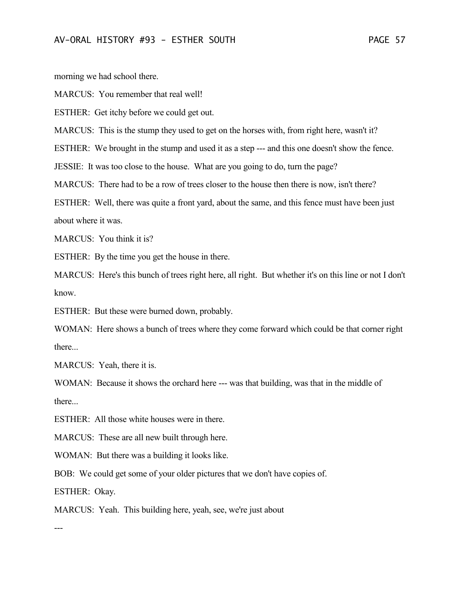morning we had school there.

MARCUS: You remember that real well!

ESTHER: Get itchy before we could get out.

MARCUS: This is the stump they used to get on the horses with, from right here, wasn't it?

ESTHER: We brought in the stump and used it as a step --- and this one doesn't show the fence.

JESSIE: It was too close to the house. What are you going to do, turn the page?

MARCUS: There had to be a row of trees closer to the house then there is now, isn't there?

ESTHER: Well, there was quite a front yard, about the same, and this fence must have been just about where it was.

MARCUS: You think it is?

ESTHER: By the time you get the house in there.

MARCUS: Here's this bunch of trees right here, all right. But whether it's on this line or not I don't know.

ESTHER: But these were burned down, probably.

WOMAN: Here shows a bunch of trees where they come forward which could be that corner right there...

MARCUS: Yeah, there it is.

WOMAN: Because it shows the orchard here --- was that building, was that in the middle of there...

ESTHER: All those white houses were in there.

MARCUS: These are all new built through here.

WOMAN: But there was a building it looks like.

BOB: We could get some of your older pictures that we don't have copies of.

ESTHER: Okay.

MARCUS: Yeah. This building here, yeah, see, we're just about

---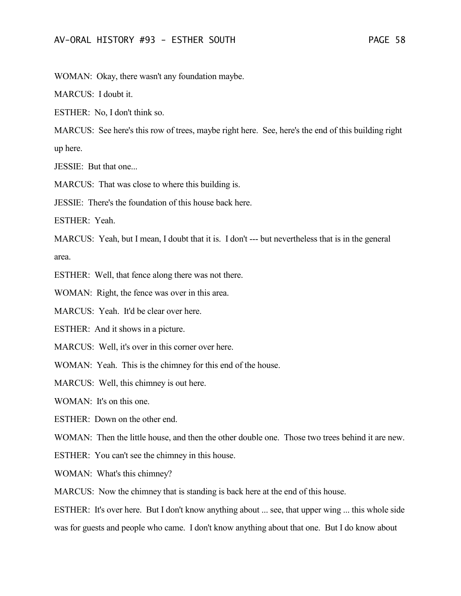MARCUS: I doubt it.

ESTHER: No, I don't think so.

MARCUS: See here's this row of trees, maybe right here. See, here's the end of this building right up here.

JESSIE: But that one...

MARCUS: That was close to where this building is.

JESSIE: There's the foundation of this house back here.

ESTHER: Yeah.

MARCUS: Yeah, but I mean, I doubt that it is. I don't --- but nevertheless that is in the general area.

ESTHER: Well, that fence along there was not there.

WOMAN: Right, the fence was over in this area.

MARCUS: Yeah. It'd be clear over here.

ESTHER: And it shows in a picture.

MARCUS: Well, it's over in this corner over here.

WOMAN: Yeah. This is the chimney for this end of the house.

MARCUS: Well, this chimney is out here.

WOMAN: It's on this one.

ESTHER: Down on the other end.

WOMAN: Then the little house, and then the other double one. Those two trees behind it are new.

ESTHER: You can't see the chimney in this house.

WOMAN: What's this chimney?

MARCUS: Now the chimney that is standing is back here at the end of this house.

ESTHER: It's over here. But I don't know anything about ... see, that upper wing ... this whole side was for guests and people who came. I don't know anything about that one. But I do know about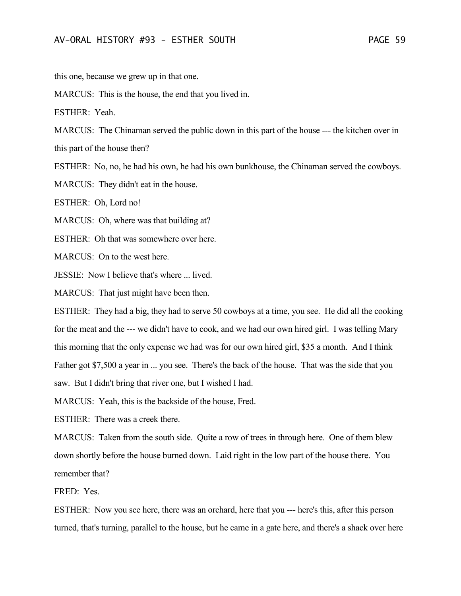this one, because we grew up in that one.

MARCUS: This is the house, the end that you lived in.

ESTHER: Yeah.

MARCUS: The Chinaman served the public down in this part of the house --- the kitchen over in this part of the house then?

ESTHER: No, no, he had his own, he had his own bunkhouse, the Chinaman served the cowboys.

MARCUS: They didn't eat in the house.

ESTHER: Oh, Lord no!

MARCUS: Oh, where was that building at?

ESTHER: Oh that was somewhere over here.

MARCUS: On to the west here.

JESSIE: Now I believe that's where ... lived.

MARCUS: That just might have been then.

ESTHER: They had a big, they had to serve 50 cowboys at a time, you see. He did all the cooking for the meat and the --- we didn't have to cook, and we had our own hired girl. I was telling Mary this morning that the only expense we had was for our own hired girl, \$35 a month. And I think Father got \$7,500 a year in ... you see. There's the back of the house. That was the side that you saw. But I didn't bring that river one, but I wished I had.

MARCUS: Yeah, this is the backside of the house, Fred.

ESTHER: There was a creek there.

MARCUS: Taken from the south side. Quite a row of trees in through here. One of them blew down shortly before the house burned down. Laid right in the low part of the house there. You remember that?

FRED: Yes.

ESTHER: Now you see here, there was an orchard, here that you --- here's this, after this person turned, that's turning, parallel to the house, but he came in a gate here, and there's a shack over here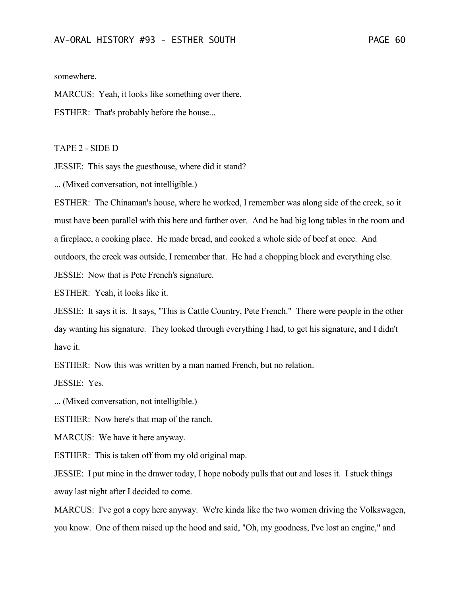somewhere.

MARCUS: Yeah, it looks like something over there.

ESTHER: That's probably before the house...

TAPE 2 - SIDE D

JESSIE: This says the guesthouse, where did it stand?

... (Mixed conversation, not intelligible.)

ESTHER: The Chinaman's house, where he worked, I remember was along side of the creek, so it must have been parallel with this here and farther over. And he had big long tables in the room and a fireplace, a cooking place. He made bread, and cooked a whole side of beef at once. And outdoors, the creek was outside, I remember that. He had a chopping block and everything else. JESSIE: Now that is Pete French's signature.

ESTHER: Yeah, it looks like it.

JESSIE: It says it is. It says, "This is Cattle Country, Pete French." There were people in the other day wanting his signature. They looked through everything I had, to get his signature, and I didn't have it.

ESTHER: Now this was written by a man named French, but no relation.

JESSIE: Yes.

... (Mixed conversation, not intelligible.)

ESTHER: Now here's that map of the ranch.

MARCUS: We have it here anyway.

ESTHER: This is taken off from my old original map.

JESSIE: I put mine in the drawer today, I hope nobody pulls that out and loses it. I stuck things away last night after I decided to come.

MARCUS: I've got a copy here anyway. We're kinda like the two women driving the Volkswagen, you know. One of them raised up the hood and said, "Oh, my goodness, I've lost an engine," and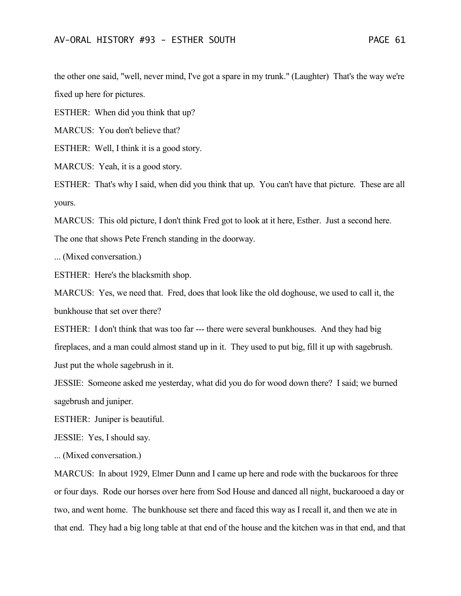the other one said, "well, never mind, I've got a spare in my trunk." (Laughter) That's the way we're fixed up here for pictures.

ESTHER: When did you think that up?

MARCUS: You don't believe that?

ESTHER: Well, I think it is a good story.

MARCUS: Yeah, it is a good story.

ESTHER: That's why I said, when did you think that up. You can't have that picture. These are all yours.

MARCUS: This old picture, I don't think Fred got to look at it here, Esther. Just a second here.

The one that shows Pete French standing in the doorway.

... (Mixed conversation.)

ESTHER: Here's the blacksmith shop.

MARCUS: Yes, we need that. Fred, does that look like the old doghouse, we used to call it, the bunkhouse that set over there?

ESTHER: I don't think that was too far --- there were several bunkhouses. And they had big fireplaces, and a man could almost stand up in it. They used to put big, fill it up with sagebrush. Just put the whole sagebrush in it.

JESSIE: Someone asked me yesterday, what did you do for wood down there? I said; we burned sagebrush and juniper.

ESTHER: Juniper is beautiful.

JESSIE: Yes, I should say.

... (Mixed conversation.)

MARCUS: In about 1929, Elmer Dunn and I came up here and rode with the buckaroos for three or four days. Rode our horses over here from Sod House and danced all night, buckarooed a day or two, and went home. The bunkhouse set there and faced this way as I recall it, and then we ate in that end. They had a big long table at that end of the house and the kitchen was in that end, and that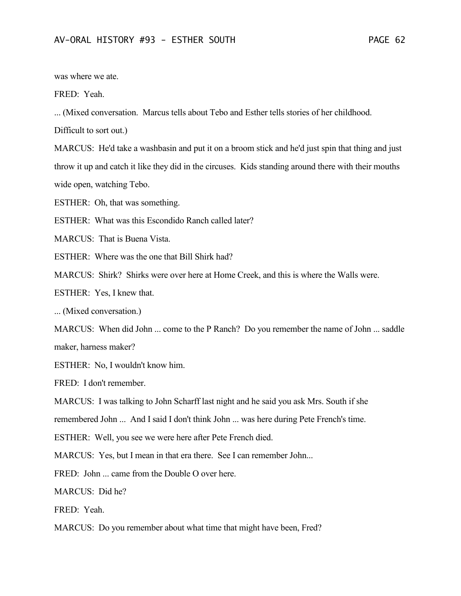was where we ate.

FRED: Yeah.

... (Mixed conversation. Marcus tells about Tebo and Esther tells stories of her childhood.

Difficult to sort out.)

MARCUS: He'd take a washbasin and put it on a broom stick and he'd just spin that thing and just throw it up and catch it like they did in the circuses. Kids standing around there with their mouths wide open, watching Tebo.

ESTHER: Oh, that was something.

ESTHER: What was this Escondido Ranch called later?

MARCUS: That is Buena Vista.

ESTHER: Where was the one that Bill Shirk had?

MARCUS: Shirk? Shirks were over here at Home Creek, and this is where the Walls were.

ESTHER: Yes, I knew that.

... (Mixed conversation.)

MARCUS: When did John ... come to the P Ranch? Do you remember the name of John ... saddle maker, harness maker?

ESTHER: No, I wouldn't know him.

FRED: I don't remember.

MARCUS: I was talking to John Scharff last night and he said you ask Mrs. South if she

remembered John ... And I said I don't think John ... was here during Pete French's time.

ESTHER: Well, you see we were here after Pete French died.

MARCUS: Yes, but I mean in that era there. See I can remember John...

FRED: John ... came from the Double O over here.

MARCUS: Did he?

FRED: Yeah.

MARCUS: Do you remember about what time that might have been, Fred?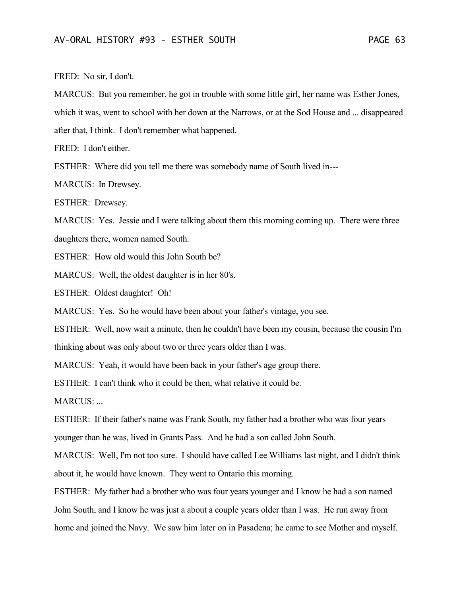FRED: No sir, I don't.

MARCUS: But you remember, he got in trouble with some little girl, her name was Esther Jones, which it was, went to school with her down at the Narrows, or at the Sod House and ... disappeared after that, I think. I don't remember what happened.

FRED: I don't either.

ESTHER: Where did you tell me there was somebody name of South lived in---

MARCUS: In Drewsey.

ESTHER: Drewsey.

MARCUS: Yes. Jessie and I were talking about them this morning coming up. There were three daughters there, women named South.

ESTHER: How old would this John South be?

MARCUS: Well, the oldest daughter is in her 80's.

ESTHER: Oldest daughter! Oh!

MARCUS: Yes. So he would have been about your father's vintage, you see.

ESTHER: Well, now wait a minute, then he couldn't have been my cousin, because the cousin I'm thinking about was only about two or three years older than I was.

MARCUS: Yeah, it would have been back in your father's age group there.

ESTHER: I can't think who it could be then, what relative it could be.

MARCUS: ...

ESTHER: If their father's name was Frank South, my father had a brother who was four years younger than he was, lived in Grants Pass. And he had a son called John South.

MARCUS: Well, I'm not too sure. I should have called Lee Williams last night, and I didn't think about it, he would have known. They went to Ontario this morning.

ESTHER: My father had a brother who was four years younger and I know he had a son named John South, and I know he was just a about a couple years older than I was. He run away from home and joined the Navy. We saw him later on in Pasadena; he came to see Mother and myself.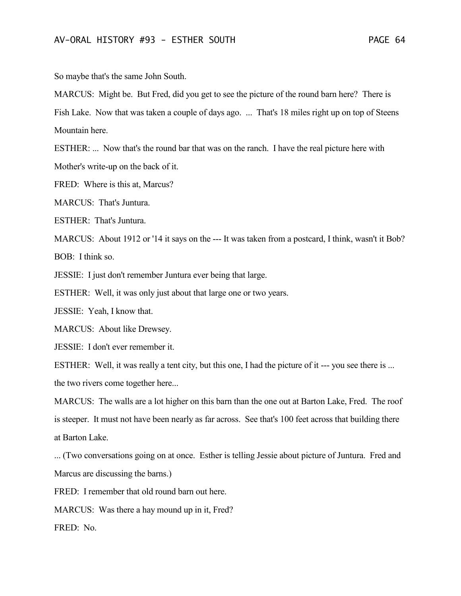So maybe that's the same John South.

MARCUS: Might be. But Fred, did you get to see the picture of the round barn here? There is Fish Lake. Now that was taken a couple of days ago. ... That's 18 miles right up on top of Steens Mountain here.

ESTHER: ... Now that's the round bar that was on the ranch. I have the real picture here with Mother's write-up on the back of it.

FRED: Where is this at, Marcus?

MARCUS: That's Juntura.

ESTHER: That's Juntura.

MARCUS: About 1912 or '14 it says on the --- It was taken from a postcard, I think, wasn't it Bob?  $BOB:$  I think so.

JESSIE: I just don't remember Juntura ever being that large.

ESTHER: Well, it was only just about that large one or two years.

JESSIE: Yeah, I know that.

MARCUS: About like Drewsey.

JESSIE: I don't ever remember it.

ESTHER: Well, it was really a tent city, but this one, I had the picture of it --- you see there is ... the two rivers come together here...

MARCUS: The walls are a lot higher on this barn than the one out at Barton Lake, Fred. The roof is steeper. It must not have been nearly as far across. See that's 100 feet across that building there at Barton Lake.

... (Two conversations going on at once. Esther is telling Jessie about picture of Juntura. Fred and Marcus are discussing the barns.)

FRED: I remember that old round barn out here.

MARCUS: Was there a hay mound up in it, Fred?

FRED: No.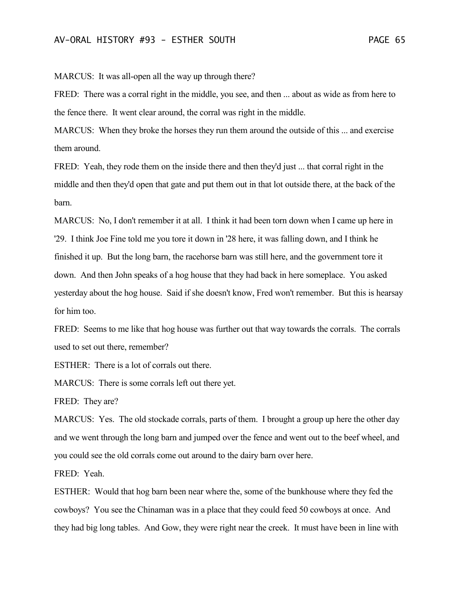MARCUS: It was all-open all the way up through there?

FRED: There was a corral right in the middle, you see, and then ... about as wide as from here to the fence there. It went clear around, the corral was right in the middle.

MARCUS: When they broke the horses they run them around the outside of this ... and exercise them around.

FRED: Yeah, they rode them on the inside there and then they'd just ... that corral right in the middle and then they'd open that gate and put them out in that lot outside there, at the back of the barn.

MARCUS: No, I don't remember it at all. I think it had been torn down when I came up here in '29. I think Joe Fine told me you tore it down in '28 here, it was falling down, and I think he finished it up. But the long barn, the racehorse barn was still here, and the government tore it down. And then John speaks of a hog house that they had back in here someplace. You asked yesterday about the hog house. Said if she doesn't know, Fred won't remember. But this is hearsay for him too.

FRED: Seems to me like that hog house was further out that way towards the corrals. The corrals used to set out there, remember?

ESTHER: There is a lot of corrals out there.

MARCUS: There is some corrals left out there yet.

FRED: They are?

MARCUS: Yes. The old stockade corrals, parts of them. I brought a group up here the other day and we went through the long barn and jumped over the fence and went out to the beef wheel, and you could see the old corrals come out around to the dairy barn over here.

FRED: Yeah.

ESTHER: Would that hog barn been near where the, some of the bunkhouse where they fed the cowboys? You see the Chinaman was in a place that they could feed 50 cowboys at once. And they had big long tables. And Gow, they were right near the creek. It must have been in line with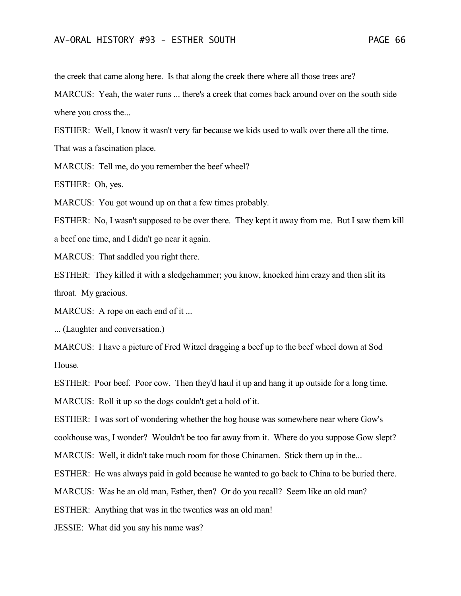the creek that came along here. Is that along the creek there where all those trees are?

MARCUS: Yeah, the water runs ... there's a creek that comes back around over on the south side where you cross the...

ESTHER: Well, I know it wasn't very far because we kids used to walk over there all the time. That was a fascination place.

MARCUS: Tell me, do you remember the beef wheel?

ESTHER: Oh, yes.

MARCUS: You got wound up on that a few times probably.

ESTHER: No, I wasn't supposed to be over there. They kept it away from me. But I saw them kill a beef one time, and I didn't go near it again.

MARCUS: That saddled you right there.

ESTHER: They killed it with a sledgehammer; you know, knocked him crazy and then slit its throat. My gracious.

MARCUS: A rope on each end of it...

... (Laughter and conversation.)

MARCUS: I have a picture of Fred Witzel dragging a beef up to the beef wheel down at Sod House.

ESTHER: Poor beef. Poor cow. Then they'd haul it up and hang it up outside for a long time.

MARCUS: Roll it up so the dogs couldn't get a hold of it.

ESTHER: I was sort of wondering whether the hog house was somewhere near where Gow's

cookhouse was, I wonder? Wouldn't be too far away from it. Where do you suppose Gow slept?

MARCUS: Well, it didn't take much room for those Chinamen. Stick them up in the...

ESTHER: He was always paid in gold because he wanted to go back to China to be buried there.

MARCUS: Was he an old man, Esther, then? Or do you recall? Seem like an old man?

ESTHER: Anything that was in the twenties was an old man!

JESSIE: What did you say his name was?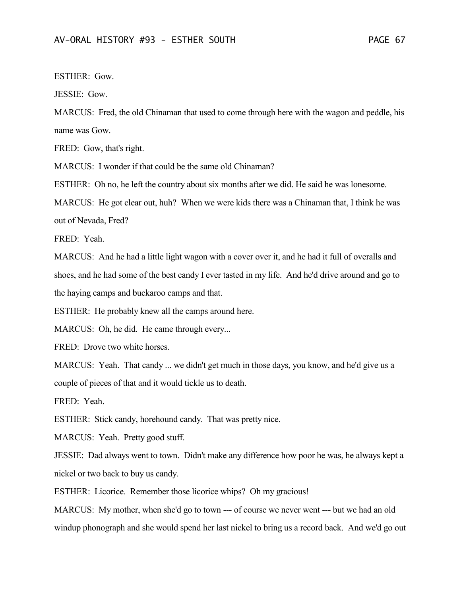ESTHER: Gow.

JESSIE: Gow.

MARCUS: Fred, the old Chinaman that used to come through here with the wagon and peddle, his name was Gow.

FRED: Gow, that's right.

MARCUS: I wonder if that could be the same old Chinaman?

ESTHER: Oh no, he left the country about six months after we did. He said he was lonesome.

MARCUS: He got clear out, huh? When we were kids there was a Chinaman that, I think he was out of Nevada, Fred?

FRED: Yeah.

MARCUS: And he had a little light wagon with a cover over it, and he had it full of overalls and shoes, and he had some of the best candy I ever tasted in my life. And he'd drive around and go to the haying camps and buckaroo camps and that.

ESTHER: He probably knew all the camps around here.

MARCUS: Oh, he did. He came through every...

FRED: Drove two white horses.

MARCUS: Yeah. That candy ... we didn't get much in those days, you know, and he'd give us a couple of pieces of that and it would tickle us to death.

FRED: Yeah.

ESTHER: Stick candy, horehound candy. That was pretty nice.

MARCUS: Yeah. Pretty good stuff.

JESSIE: Dad always went to town. Didn't make any difference how poor he was, he always kept a nickel or two back to buy us candy.

ESTHER: Licorice. Remember those licorice whips? Oh my gracious!

MARCUS: My mother, when she'd go to town --- of course we never went --- but we had an old windup phonograph and she would spend her last nickel to bring us a record back. And we'd go out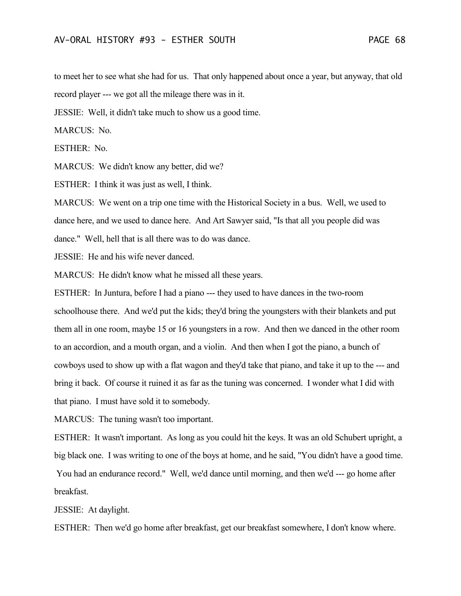to meet her to see what she had for us. That only happened about once a year, but anyway, that old record player --- we got all the mileage there was in it.

JESSIE: Well, it didn't take much to show us a good time.

MARCUS: No.

ESTHER: No.

MARCUS: We didn't know any better, did we?

ESTHER: I think it was just as well, I think.

MARCUS: We went on a trip one time with the Historical Society in a bus. Well, we used to dance here, and we used to dance here. And Art Sawyer said, "Is that all you people did was dance." Well, hell that is all there was to do was dance.

JESSIE: He and his wife never danced.

MARCUS: He didn't know what he missed all these years.

ESTHER: In Juntura, before I had a piano --- they used to have dances in the two-room schoolhouse there. And we'd put the kids; they'd bring the youngsters with their blankets and put them all in one room, maybe 15 or 16 youngsters in a row. And then we danced in the other room to an accordion, and a mouth organ, and a violin. And then when I got the piano, a bunch of cowboys used to show up with a flat wagon and they'd take that piano, and take it up to the --- and bring it back. Of course it ruined it as far as the tuning was concerned. I wonder what I did with that piano. I must have sold it to somebody.

MARCUS: The tuning wasn't too important.

ESTHER: It wasn't important. As long as you could hit the keys. It was an old Schubert upright, a big black one. I was writing to one of the boys at home, and he said, "You didn't have a good time. You had an endurance record." Well, we'd dance until morning, and then we'd --- go home after breakfast.

JESSIE: At daylight.

ESTHER: Then we'd go home after breakfast, get our breakfast somewhere, I don't know where.